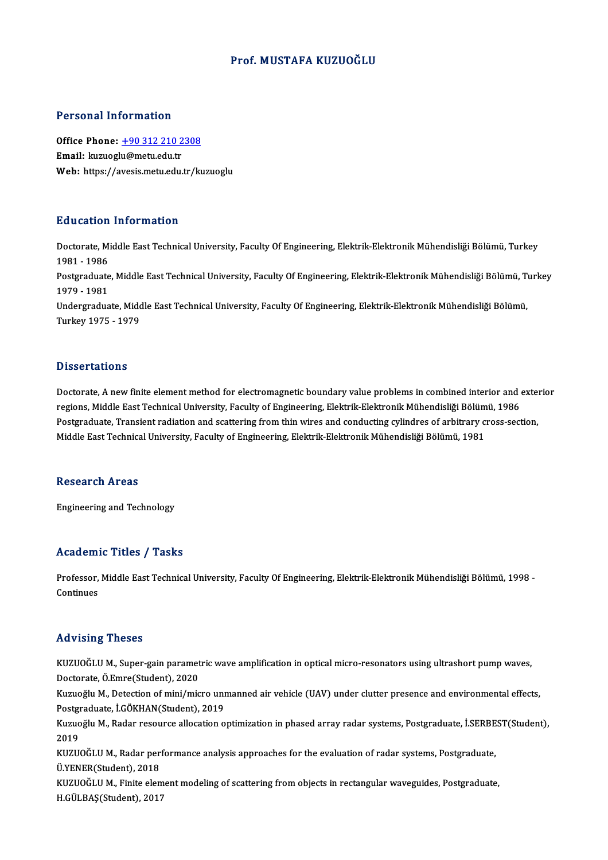#### Prof.MUSTAFA KUZUOĞLU

#### Personal Information

Personal Information<br>Office Phone: <u>+90 312 210 2308</u><br>Email: kuruoglu@metu.edu.tr 1 ST SOMAT THEST MARKSH<br>Office Phone: <u>+90 312 210 2</u><br>Email: kuzuogl[u@metu.edu.tr](tel:+90 312 210 2308) Email: kuzuoglu@metu.edu.tr<br>Web: https://avesis.metu.edu.tr/kuzuoglu

#### Education Information

**Education Information**<br>Doctorate, Middle East Technical University, Faculty Of Engineering, Elektrik-Elektronik Mühendisliği Bölümü, Turkey<br>1981–1986 nd declerent<br>1981 - 1986<br>Postareduate Doctorate, Middle East Technical University, Faculty Of Engineering, Elektrik-Elektronik Mühendisliği Bölümü, Turkey<br>1981 - 1986<br>Postgraduate, Middle East Technical University, Faculty Of Engineering, Elektrik-Elektronik M 1981 - 1986<br>Postgraduate<br>1979 - 1981<br>Undergradua Postgraduate, Middle East Technical University, Faculty Of Engineering, Elektrik-Elektronik Mühendisliği Bölümü, T<br>1979 - 1981<br>Undergraduate, Middle East Technical University, Faculty Of Engineering, Elektrik-Elektronik Mü 1979 - 1981<br>Undergraduate, Middle East Technical University, Faculty Of Engineering, Elektrik-Elektronik Mühendisliği Bölümü,<br>Turkey 1975 - 1979

#### **Dissertations**

Doctorate, A new finite element method for electromagnetic boundary value problems in combined interior and exterior regions, Middle East Technical University, Faculty of Engineering, Elektrik-Elektronik Mühendisliği Bölümü, 1986 Doctorate, A new finite element method for electromagnetic boundary value problems in combined interior and extend<br>The sections, Middle East Technical University, Faculty of Engineering, Elektrik-Elektronik Mühendisliği Bö regions, Middle East Technical University, Faculty of Engineering, Elektrik-Elektronik Mühendisliği Bölüm<br>Postgraduate, Transient radiation and scattering from thin wires and conducting cylindres of arbitrary c<br>Middle East Middle East Technical University, Faculty of Engineering, Elektrik-Elektronik Mühendisliği Bölümü, 1981<br>Research Areas

Engineering and Technology

#### Academic Titles / Tasks

Academic Titles / Tasks<br>Professor, Middle East Technical University, Faculty Of Engineering, Elektrik-Elektronik Mühendisliği Bölümü, 1998 -<br>Centinues Professor,<br>Continues

# Advising Theses

Advising Theses<br>KUZUOĞLU M., Super-gain parametric wave amplification in optical micro-resonators using ultrashort pump waves,<br>Pesterate Ö Emre(Student), 2020 rra viering<br>2020 KUZUOĞLU M., Super-gain paramet<br>Doctorate, Ö.Emre(Student), 2020<br>Kuzuoğlu M. Dotogtion of mini (mia KUZUOĞLU M., Super-gain parametric wave amplification in optical micro-resonators using ultrashort pump waves,<br>Doctorate, Ö.Emre(Student), 2020<br>Kuzuoğlu M., Detection of mini/micro unmanned air vehicle (UAV) under clutter Doctorate, Ö.Emre(Student), 2020<br>Kuzuoğlu M., Detection of mini/micro uni<br>Postgraduate, İ.GÖKHAN(Student), 2019<br>Kuzuoğlu M. Badar resourse ellesstion e Kuzuoğlu M., Detection of mini/micro unmanned air vehicle (UAV) under clutter presence and environmental effects,<br>Postgraduate, İ.GÖKHAN(Student), 2019<br>Kuzuoğlu M., Radar resource allocation optimization in phased array ra Post<mark>gi</mark><br>Kuzuo<br>2019 Kuzuoğlu M., Radar resource allocation optimization in phased array radar systems, Postgraduate, İ.SERBE<br>2019<br>KUZUOĞLU M., Radar performance analysis approaches for the evaluation of radar systems, Postgraduate,<br>Ü.VENER(St 2019<br>KUZUOĞLU M., Radar performance analysis approaches for the evaluation of radar systems, Postgraduate,<br>Ü.YENER(Student). 2018 KUZUOĞLU M., Finite element modeling of scattering from objects in rectangular waveguides, Postgraduate, H.GÜLBAŞ(Student),2017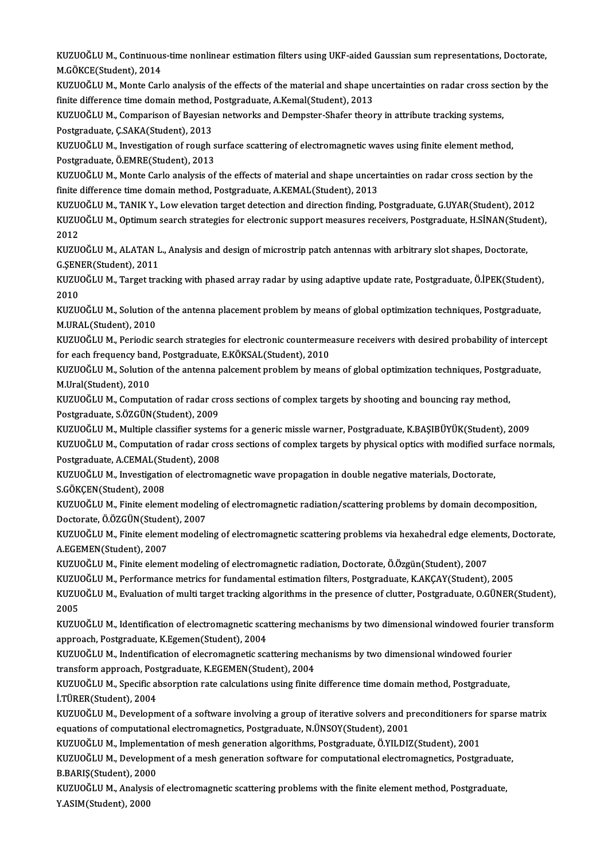KUZUOĞLU M., Continuous-time nonlinear estimation filters using UKF-aided Gaussian sum representations, Doctorate,<br>M.GÖKCE(Student), 2014 KUZUOĞLU M., Continuou:<br>M.GÖKCE(Student), 2014<br>KUZUOĞLU M. Monte Carl KUZUOĞLU M., Continuous-time nonlinear estimation filters using UKF-aided Gaussian sum representations, Doctorate,<br>M.GÖKCE(Student), 2014<br>KUZUOĞLU M., Monte Carlo analysis of the effects of the material and shape uncertain

M.GÖKCE(Student), 2014<br>KUZUOĞLU M., Monte Carlo analysis of the effects of the material and shape u<br>finite difference time domain method, Postgraduate, A.Kemal(Student), 2013<br>KUZUOĞLU M. Comparison of Bayssian natysplie an KUZUOĞLU M., Monte Carlo analysis of the effects of the material and shape uncertainties on radar cross sec<br>finite difference time domain method, Postgraduate, A.Kemal(Student), 2013<br>KUZUOĞLU M., Comparison of Bayesian net

finite difference time domain method, Postgraduate, A.Kemal(Student), 2013<br>KUZUOĞLU M., Comparison of Bayesian networks and Dempster-Shafer theory in attribute tracking systems,<br>Postgraduate, Ç.SAKA(Student), 2013 KUZUOĞLU M., Comparison of Bayesian networks and Dempster-Shafer theory in attribute tracking systems,<br>Postgraduate, Ç.SAKA(Student), 2013<br>KUZUOĞLU M., Investigation of rough surface scattering of electromagnetic waves usi

Postgraduate, Ç.SAKA(Student), 2013<br>KUZUOĞLU M., Investigation of rough s<br>Postgraduate, Ö.EMRE(Student), 2013<br>KUZUOĞLU M. Monta Carla analysis of Postgraduate, Ö.EMRE(Student), 2013<br>KUZUOĞLU M., Monte Carlo analysis of the effects of material and shape uncertainties on radar cross section by the

finite difference time domain method, Postgraduate, A.KEMAL(Student), 2013 KUZUOĞLU M., Monte Carlo analysis of the effects of material and shape uncertainties on radar cross section by the<br>finite difference time domain method, Postgraduate, A.KEMAL(Student), 2013<br>KUZUOĞLU M., TANIK Y., Low eleva

KUZUOĞLU M., Optimum search strategies for electronic support measures receivers, Postgraduate, H.SİNAN(Student),<br>2012 KUZU<br>KUZU<br>2012<br>KUZU KUZUOĞLU M., Optimum search strategies for electronic support measures receivers, Postgraduate, H.SİNAN(Stude<br>2012<br>KUZUOĞLU M., ALATAN L., Analysis and design of microstrip patch antennas with arbitrary slot shapes, Doctor

2012<br>KUZUOĞLU M., ALATAN L<br>G.ŞENER(Student), 2011<br>KUZUOĞLU M. Tarast tra KUZUOĞLU M., ALATAN L., Analysis and design of microstrip patch antennas with arbitrary slot shapes, Doctorate,<br>G.ŞENER(Student), 2011<br>KUZUOĞLU M., Target tracking with phased array radar by using adaptive update rate, Pos

G.ŞEN<br>KUZU<br>2010<br>KUZU KUZUOĞLU M., Target tracking with phased array radar by using adaptive update rate, Postgraduate, Ö.İPEK(Student)<br>2010<br>KUZUOĞLU M., Solution of the antenna placement problem by means of global optimization techniques, Post

2010<br>KUZUOĞLU M., Solution of the antenna placement problem by means of global optimization techniques, Postgraduate,<br>M.URAL(Student), 2010 KUZUOĞLU M., Solution of the antenna placement problem by means of global optimization techniques, Postgraduate,<br>M.URAL(Student), 2010<br>KUZUOĞLU M., Periodic search strategies for electronic countermeasure receivers with de

M.URAL(Student), 2010<br>KUZUOĞLU M., Periodic search strategies for electronic counterme:<br>for each frequency band, Postgraduate, E.KÖKSAL(Student), 2010<br>KUZUOČLU M. Solution of the antenna pelsement problem by meal KUZUOĞLU M., Periodic search strategies for electronic countermeasure receivers with desired probability of intercep<br>for each frequency band, Postgraduate, E.KÖKSAL(Student), 2010<br>KUZUOĞLU M., Solution of the antenna palce

for each frequency band, Postgraduate, E.KÖKSAL(Student), 2010<br>KUZUOĞLU M., Solution of the antenna palcement problem by means of global optimization techniques, Postgraduate,<br>M.Ural(Student), 2010 KUZUOĞLU M., Solution of the antenna palcement problem by means of global optimization techniques, Postgram.<br>M.Ural(Student), 2010<br>KUZUOĞLU M., Computation of radar cross sections of complex targets by shooting and bouncin

M.Ural(Student), 2010<br>KUZUOĞLU M., Computation of radar cre<br>Postgraduate, S.ÖZGÜN(Student), 2009<br>KUZUOĞUJ M. Multiple classifier system KUZUOĞLU M., Computation of radar cross sections of complex targets by shooting and bouncing ray method,<br>Postgraduate, S.ÖZGÜN(Student), 2009<br>KUZUOĞLU M., Multiple classifier systems for a generic missle warner, Postgradua

KUZUOĞLU M., Multiple classifier systems for a generic missle warner, Postgraduate, K.BAŞIBÜYÜK(Student), 2009

Postgraduate, S.ÖZGÜN(Student), 2009<br>KUZUOĞLU M., Multiple classifier systems for a generic missle warner, Postgraduate, K.BAŞIBÜYÜK(Student), 2009<br>KUZUOĞLU M., Computation of radar cross sections of complex targets by phy KUZUOĞLU M., Computation of radar cross sections of complex targets by physical optics with modified sure<br>Postgraduate, A.CEMAL(Student), 2008<br>KUZUOĞLU M., Investigation of electromagnetic wave propagation in double negati

Postgraduate, A.CEMAL(St<br>KUZUOĞLU M., Investigatio<br>S.GÖKÇEN(Student), 2008<br>KUZUOĞLU M. Einite alame

S.GÖKÇEN(Student), 2008<br>KUZUOĞLU M., Finite element modeling of electromagnetic radiation/scattering problems by domain decomposition, Doctorate,Ö.ÖZGÜN(Student),2007 KUZUOĞLU M., Finite element modeling of electromagnetic radiation/scattering problems by domain decomposition,<br>Doctorate, Ö.ÖZGÜN(Student), 2007<br>KUZUOĞLU M., Finite element modeling of electromagnetic scattering problems v

Doctorate, Ö.ÖZGÜN(Studer<br>KUZUOĞLU M., Finite eleme<br>A.EGEMEN(Student), 2007<br>KUZUOĞLU M. Finite eleme KUZUOĞLU M., Finite element modeling of electromagnetic scattering problems via hexahedral edge elem<br>A.EGEMEN(Student), 2007<br>KUZUOĞLU M., Finite element modeling of electromagnetic radiation, Doctorate, Ö.Özgün(Student), 2 A.EGEMEN(Student), 2007<br>KUZUOĞLU M., Finite element modeling of electromagnetic radiation, Doctorate, Ö.Özgün(Student), 2007<br>KUZUOĞLU M., Performance metrics for fundamental estimation filters, Postgraduate, K.AKÇAY(Studen

KUZUOĞLU M., Finite element modeling of electromagnetic radiation, Doctorate, Ö.Özgün(Student), 2007<br>KUZUOĞLU M., Performance metrics for fundamental estimation filters, Postgraduate, K.AKÇAY(Student), 2005<br>KUZUOĞLU M., Ev KUZU<br>KUZU<br>2005<br>KUZU KUZUOĞLU M., Evaluation of multi target tracking algorithms in the presence of clutter, Postgraduate, O.GÜNER(Student),<br>2005<br>KUZUOĞLU M., Identification of electromagnetic scattering mechanisms by two dimensional windowed

2005<br>KUZUOĞLU M., Identification of electromagnetic scattering mechanisms by two dimensional windowed fourier transform<br>approach, Postgraduate, K.Egemen(Student), 2004 KUZUOĞLU M., Identification of electromagnetic scattering mechanisms by two dimensional windowed fourier t<br>approach, Postgraduate, K.Egemen(Student), 2004<br>KUZUOĞLU M., Indentification of elecromagnetic scattering mechanism

approach, Postgraduate, K.Egemen(Student), 2004<br>KUZUOĞLU M., Indentification of elecromagnetic scattering mec<br>transform approach, Postgraduate, K.EGEMEN(Student), 2004<br>KUZUOĞLU M. Specific ebserntion rete calculations usin KUZUOĞLU M., Indentification of elecromagnetic scattering mechanisms by two dimensional windowed fourier<br>transform approach, Postgraduate, K.EGEMEN(Student), 2004<br>KUZUOĞLU M., Specific absorption rate calculations using fi

transform approach, Postgraduate, K.EGEMEN(Student), 2004<br>KUZUOĞLU M., Specific absorption rate calculations using finite difference time domain method, Postgraduate,<br>İ.TÜRER(Student), 2004 KUZUOĞLU M., Specific absorption rate calculations using finite difference time domain method, Postgraduate,<br>İ.TÜRER(Student), 2004<br>KUZUOĞLU M., Development of a software involving a group of iterative solvers and precondi

i.TÜRER(Student), 2004<br>KUZUOĞLU M., Development of a software involving a group of iterative solvers and p<br>equations of computational electromagnetics, Postgraduate, N.ÜNSOY(Student), 2001<br>KUZUOĞLU M. Implementation of mes KUZUOĞLU M., Development of a software involving a group of iterative solvers and preconditioners fo<br>equations of computational electromagnetics, Postgraduate, N.ÜNSOY(Student), 2001<br>KUZUOĞLU M., Implementation of mesh gen

equations of computational electromagnetics, Postgraduate, N.ÜNSOY(Student), 2001<br>KUZUOĞLU M., Implementation of mesh generation algorithms, Postgraduate, Ö.YILDIZ(Student), 2001<br>KUZUOĞLU M., Development of a mesh generati KUZUOĞLU M., Implemen<br>KUZUOĞLU M., Developn<br>B.BARIŞ(Student), 2000<br>KUZUOĞLU M. Anakrais s KUZUOĞLU M., Development of a mesh generation software for computational electromagnetics, Postgraduate<br>B.BARIŞ(Student), 2000<br>KUZUOĞLU M., Analysis of electromagnetic scattering problems with the finite element method, Po

B.BARIŞ(Student), 2000<br>KUZUOĞLU M., Analysis of electromagnetic scattering problems with the finite element method, Postgraduate,<br>Y.ASIM(Student), 2000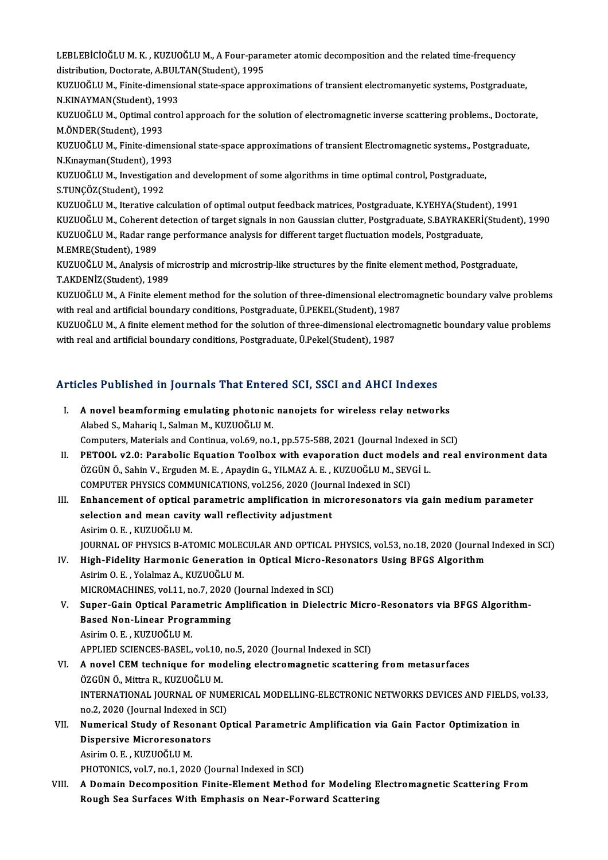LEBLEBİCİOĞLU M. K. , KUZUOĞLU M., A Four-parameter atomic decomposition and the related time-frequency<br>distribution, Doctorate, A BULTAN(Student), 1995 LEBLEBİCİOĞLU M. K. , KUZUOĞLU M., A Four-para<br>distribution, Doctorate, A.BULTAN(Student), 1995<br>KUZUOĞLU M. Finito dimensional state anase annu LEBLEBİCİOĞLU M. K. , KUZUOĞLU M., A Four-parameter atomic decomposition and the related time-frequency<br>distribution, Doctorate, A.BULTAN(Student), 1995<br>KUZUOĞLU M., Finite-dimensional state-space approximations of transie

distribution, Doctorate, A.BULTAN(Student), 1995<br>KUZUOĞLU M., Finite-dimensional state-space approximations of transient electromanyetic systems, Postgraduate,<br>N.KINAYMAN(Student), 1993 KUZUOĞLU M., Finite-dimensional state-space approximations of transient electromanyetic systems, Postgraduate,<br>N.KINAYMAN(Student), 1993<br>KUZUOĞLU M., Optimal control approach for the solution of electromagnetic inverse sca

N.KINAYMAN(Student), 19<br>KUZUOĞLU M., Optimal cor<br>M.ÖNDER(Student), 1993<br>KUZUOĞLU M. Finite dime KUZUOĞLU M., Optimal control approach for the solution of electromagnetic inverse scattering problems., Doctorat<br>M.ÖNDER(Student), 1993<br>KUZUOĞLU M., Finite-dimensional state-space approximations of transient Electromagneti

M.ÖNDER(Student), 1993<br>KUZUOĞLU M., Finite-dimens<br>N.Kınayman(Student), 1993<br>KUZUOĞLU M. Investisation KUZUOĞLU M., Finite-dimensional state-space approximations of transient Electromagnetic systems., Pos<br>N.Kınayman(Student), 1993<br>KUZUOĞLU M., Investigation and development of some algorithms in time optimal control, Postgra

N.Kınayman(Student), 199<br>KUZUOĞLU M., Investigatio<br>S.TUNÇÖZ(Student), 1992<br>KUZUOĞLU M. Itarative səl KUZUOĞLU M., Investigation and development of some algorithms in time optimal control, Postgraduate,<br>S.TUNÇÖZ(Student), 1992<br>KUZUOĞLU M., Iterative calculation of optimal output feedback matrices, Postgraduate, K.YEHYA(Stu

S.TUNÇÖZ(Student), 1992<br>KUZUOĞLU M., Iterative calculation of optimal output feedback matrices, Postgraduate, K.YEHYA(Student), 1991<br>KUZUOĞLU M., Coherent detection of target signals in non Gaussian clutter, Postgraduate, KUZUOĞLU M., Radar range performance analysis for different target fluctuation models, Postgraduate, M.EMRE(Student),1989 KUZUOĞLU M., Radar range performance analysis for different target fluctuation models, Postgraduate,<br>M.EMRE(Student), 1989<br>KUZUOĞLU M., Analysis of microstrip and microstrip-like structures by the finite element method, Po

M.EMRE(Student), 1989<br>KUZUOĞLU M., Analysis of n<br>T.AKDENİZ(Student), 1989<br>KUZUOĞLU M. A Finite alam KUZUOĞLU M., Analysis of microstrip and microstrip-like structures by the finite element method, Postgraduate,<br>T.AKDENİZ(Student), 1989<br>KUZUOĞLU M., A Finite element method for the solution of three-dimensional electromagn

T.AKDENİZ(Student), 1989<br>KUZUOĞLU M., A Finite element method for the solution of three-dimensional electro<br>with real and artificial boundary conditions, Postgraduate, Ü.PEKEL(Student), 1987<br>KUZUOĞLU M. A finite element me KUZUOĞLU M., A Finite element method for the solution of three-dimensional electromagnetic boundary valve problems<br>with real and artificial boundary conditions, Postgraduate, Ü.PEKEL(Student), 1987<br>KUZUOĞLU M., A finite el

with real and artificial boundary conditions, Postgraduate, Ü.PEKEL(Student), 1987<br>KUZUOĞLU M., A finite element method for the solution of three-dimensional electromagnetic boundary value problems<br>with real and artificial

# with real and artificial boundary conditions, rostgraduate, o.rekel(student), 1967<br>Articles Published in Journals That Entered SCI, SSCI and AHCI Indexes

| Articles Published in Journals That Entered SCI, SSCI and AHCI Indexes |                                                                                                         |
|------------------------------------------------------------------------|---------------------------------------------------------------------------------------------------------|
| L                                                                      | A novel beamforming emulating photonic nanojets for wireless relay networks                             |
|                                                                        | Alabed S., Mahariq I., Salman M., KUZUOĞLU M.                                                           |
|                                                                        | Computers, Materials and Continua, vol.69, no.1, pp.575-588, 2021 (Journal Indexed in SCI)              |
| Н.                                                                     | PETOOL v2.0: Parabolic Equation Toolbox with evaporation duct models and real environment data          |
|                                                                        | ÖZGÜN Ö., Sahin V., Erguden M. E., Apaydin G., YILMAZ A. E., KUZUOĞLU M., SEVGİ L.                      |
|                                                                        | COMPUTER PHYSICS COMMUNICATIONS, vol.256, 2020 (Journal Indexed in SCI)                                 |
| III.                                                                   | Enhancement of optical parametric amplification in microresonators via gain medium parameter            |
|                                                                        | selection and mean cavity wall reflectivity adjustment                                                  |
|                                                                        | Asirim O. E., KUZUOĞLU M.                                                                               |
|                                                                        | JOURNAL OF PHYSICS B-ATOMIC MOLECULAR AND OPTICAL PHYSICS, vol.53, no.18, 2020 (Journal Indexed in SCI) |
| IV.                                                                    | High-Fidelity Harmonic Generation in Optical Micro-Resonators Using BFGS Algorithm                      |
|                                                                        | Asirim O. E., Yolalmaz A., KUZUOĞLU M.                                                                  |
|                                                                        | MICROMACHINES, vol.11, no.7, 2020 (Journal Indexed in SCI)                                              |
| V.                                                                     | Super-Gain Optical Parametric Amplification in Dielectric Micro-Resonators via BFGS Algorithm-          |
|                                                                        | <b>Based Non-Linear Programming</b>                                                                     |
|                                                                        | Asirim O. E., KUZUOĞLU M.                                                                               |
|                                                                        | APPLIED SCIENCES-BASEL, vol.10, no.5, 2020 (Journal Indexed in SCI)                                     |
| VI.                                                                    | A novel CEM technique for modeling electromagnetic scattering from metasurfaces                         |
|                                                                        | ÖZGÜN Ö., Mittra R., KUZUOĞLU M.                                                                        |
|                                                                        | INTERNATIONAL JOURNAL OF NUMERICAL MODELLING-ELECTRONIC NETWORKS DEVICES AND FIELDS, vol.33,            |
|                                                                        | no 2, 2020 (Journal Indexed in SCI)                                                                     |
| VII.                                                                   | Numerical Study of Resonant Optical Parametric Amplification via Gain Factor Optimization in            |
|                                                                        | <b>Dispersive Microresonators</b>                                                                       |
|                                                                        | Asirim O. E., KUZUOĞLU M.                                                                               |
|                                                                        | PHOTONICS, vol.7, no.1, 2020 (Journal Indexed in SCI)                                                   |
| VIII.                                                                  | A Domain Decomposition Finite-Element Method for Modeling Electromagnetic Scattering From               |
|                                                                        | Rough Sea Surfaces With Emphasis on Near-Forward Scattering                                             |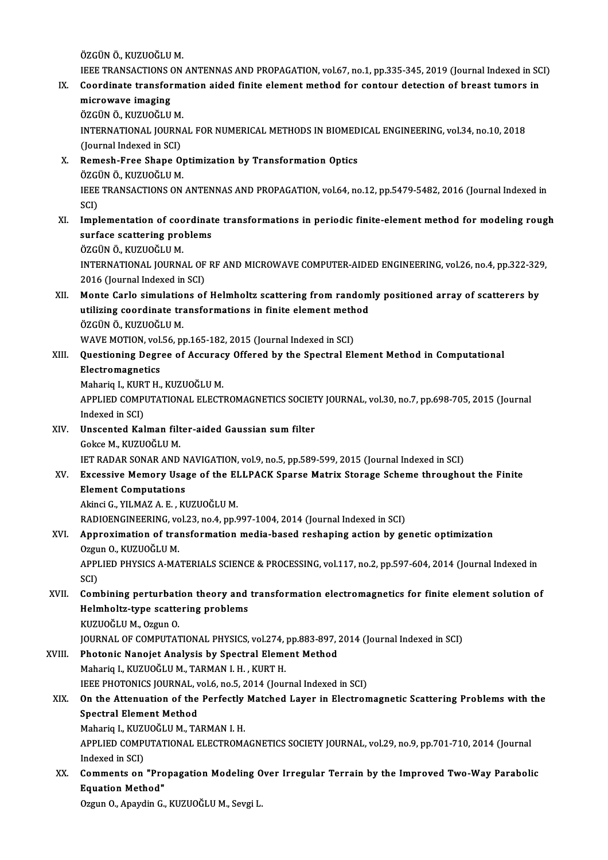ÖZGÜNÖ.,KUZUOĞLUM.

ÖZGÜN Ö., KUZUOĞLU M.<br>IEEE TRANSACTIONS ON ANTENNAS AND PROPAGATION, vol.67, no.1, pp.335-345, 2019 (Journal Indexed in SCI)<br>Coordinate transformation aided finite element method for senteur detection of breest tumers in ÖZGÜN Ö., KUZUOĞLU M.<br>IEEE TRANSACTIONS ON ANTENNAS AND PROPAGATION, vol.67, no.1, pp.335-345, 2019 (Journal Indexed in SC<br>IX. Coordinate transformation aided finite element method for contour detection of breast tumors in

**IEEE TRANSACTIONS (Soordinate transform**<br>**Coordinate transformicrowave imaging**<br>ÖZCÜN Ö, KUZUOČU Coordinate transform:<br>microwave imaging<br>ÖZGÜN Ö., KUZUOĞLU M.<br>INTERNATIONAL JOURN microwave imaging<br>ÖZGÜN Ö., KUZUOĞLU M.<br>INTERNATIONAL JOURNAL FOR NUMERICAL METHODS IN BIOMEDICAL ENGINEERING, vol.34, no.10, 2018<br>(Journal Indoxed in SCL) ÖZGÜN Ö., KUZUOĞLU M.<br>INTERNATIONAL JOURN.<br>(Journal Indexed in SCI)<br>Bomesh Eree Shane O. INTERNATIONAL JOURNAL FOR NUMERICAL METHODS IN BIOMED<br>(Journal Indexed in SCI)<br>X. Remesh-Free Shape Optimization by Transformation Optics<br>ÖZCÜN Ö. KUZUQČUJM (Journal Indexed in SCI)<br>Remesh-Free Shape Optimization by Transformation Optics<br>ÖZGÜN Ö., KUZUOĞLU M. Remesh-Free Shape Optimization by Transformation Optics<br>ÖZGÜN Ö., KUZUOĞLU M.<br>IEEE TRANSACTIONS ON ANTENNAS AND PROPAGATION, vol.64, no.12, pp.5479-5482, 2016 (Journal Indexed in<br>SCD ÖZGI<br>IEEE<br>SCI)<br>Impl IEEE TRANSACTIONS ON ANTENNAS AND PROPAGATION, vol.64, no.12, pp.5479-5482, 2016 (Journal Indexed in<br>SCI)<br>XI. Implementation of coordinate transformations in periodic finite-element method for modeling rough<br>surface sestio SCI)<br>Implementation of coordinat<br>surface scattering problems<br>ÖZCÜN Ö, KUZUOČLUM Implementation of coo<br>surface scattering pro<br>ÖZGÜN Ö., KUZUOĞLU M.<br>INTERNATIONAL JOURN surface scattering problems<br>ÖZGÜN Ö., KUZUOĞLU M.<br>INTERNATIONAL JOURNAL OF RF AND MICROWAVE COMPUTER-AIDED ENGINEERING, vol.26, no.4, pp.322-329,<br>2016 (Journal Indoved in SCD ÖZGÜN Ö., KUZUOĞLU M.<br>INTERNATIONAL JOURNAL OF<br>2016 (Journal Indexed in SCI)<br>Manta Carla simulations of INTERNATIONAL JOURNAL OF RF AND MICROWAVE COMPUTER-AIDED ENGINEERING, vol.26, no.4, pp.322-329<br>2016 (Journal Indexed in SCI)<br>XII. Monte Carlo simulations of Helmholtz scattering from randomly positioned array of scatterers 2016 (Journal Indexed in SCI)<br>Monte Carlo simulations of Helmholtz scattering from random<br>utilizing coordinate transformations in finite element method<br>ÖZCÜN Ö, KUZUOČLUM Monte Carlo simulatio<br>utilizing coordinate tra<br>ÖZGÜN Ö., KUZUOĞLU M.<br>WAVE MOTION vel 56 m utilizing coordinate transformations in finite element meth<br>ÖZGÜN Ö., KUZUOĞLU M.<br>WAVE MOTION, vol.56, pp.165-182, 2015 (Journal Indexed in SCI)<br>Questioning Dessee of Assuresy Offered by the Spestral El ÖZGÜN Ö., KUZUOĞLU M.<br>WAVE MOTION, vol.56, pp.165-182, 2015 (Journal Indexed in SCI)<br>XIII. Questioning Degree of Accuracy Offered by the Spectral Element Method in Computational<br>Electromagnetics WAVE MOTION, vol.<br>Questioning Degre<br>Electromagnetics<br>Mabaria L. VIPT H Questioning Degree of Accurac<br>Electromagnetics<br>Mahariq I., KURT H., KUZUOĞLU M.<br>APPLEED COMPUTATIONAL ELECTI APPLIED COMPUTATIONAL ELECTROMAGNETICS SOCIETY JOURNAL, vol.30, no.7, pp.698-705, 2015 (Journal Indexed in SCI) Mahariq I., KUR<br>APPLIED COMP<br>Indexed in SCI)<br>Unsconted Kel APPLIED COMPUTATIONAL ELECTROMAGNETICS SOCIET<br>Indexed in SCI)<br>XIV. Unscented Kalman filter-aided Gaussian sum filter<br>Colse M. KUZUQČLU M Indexed in SCI)<br><mark>Unscented Kalman filt</mark><br>Gokce M., KUZUOĞLU M.<br>IET BADAR SONAR AND Gokce M., KUZUOĞLU M.<br>IET RADAR SONAR AND NAVIGATION, vol.9, no.5, pp.589-599, 2015 (Journal Indexed in SCI) Gokce M., KUZUOĞLU M.<br>IET RADAR SONAR AND NAVIGATION, vol.9, no.5, pp.589-599, 2015 (Journal Indexed in SCI)<br>XV. Excessive Memory Usage of the ELLPACK Sparse Matrix Storage Scheme throughout the Finite<br>Floment Computati **IET RADAR SONAR AND N<br>Excessive Memory Usa<br>Element Computations<br>Alingi C. VII MAZ A. E. VI** Excessive Memory Usage of the El<br>Element Computations<br>Akinci G., YILMAZ A. E. , KUZUOĞLU M.<br>BADIOENCINEERING yol 22 no 4 nn 6 Element Computations<br>Akinci G., YILMAZ A. E. , KUZUOĞLU M.<br>RADIOENGINEERING, vol.23, no.4, pp.997-1004, 2014 (Journal Indexed in SCI)<br>Annusuimation of transformation modia based resbaning astion by ge Akinci G., YILMAZ A. E. , KUZUOĞLU M.<br>RADIOENGINEERING, vol.23, no.4, pp.997-1004, 2014 (Journal Indexed in SCI)<br>XVI. Approximation of transformation media-based reshaping action by genetic optimization<br>Ozgun O., KUZUOĞLU RADIOENGINEERING, vo<br>Approximation of tra:<br>Ozgun O., KUZUOĞLU M.<br>APPLIED PHYSICS A MA Approximation of transformation media-based reshaping action by genetic optimization<br>Ozgun O., KUZUOĞLU M.<br>APPLIED PHYSICS A-MATERIALS SCIENCE & PROCESSING, vol.117, no.2, pp.597-604, 2014 (Journal Indexed in<br>SCD Ozgu<br>APPI<br>SCI)<br>Cam APPLIED PHYSICS A-MATERIALS SCIENCE & PROCESSING, vol.117, no.2, pp.597-604, 2014 (Journal Indexed in<br>SCI)<br>XVII. Combining perturbation theory and transformation electromagnetics for finite element solution of<br>Helmbeltz ty SCI)<br>Combining perturbation theory and<br>Helmholtz-type scattering problems<br>KUZUQČLUM Q7599 Q Combining perturbati<br>Helmholtz-type scatte<br>KUZUOĞLU M., Ozgun O.<br>JOUPNAL OF COMBUTAT Helmholtz-type scattering problems<br>KUZUOĞLU M., Ozgun O.<br>JOURNAL OF COMPUTATIONAL PHYSICS, vol.274, pp.883-897, 2014 (Journal Indexed in SCI)<br>Photonis Nanoist Analysis by Spestral Element Method KUZUOĞLU M., Ozgun O.<br>JOURNAL OF COMPUTATIONAL PHYSICS, vol.274, pp.883-897, .<br>XVIII. Photonic Nanojet Analysis by Spectral Element Method<br>Meharia L. KUZUOĞLU M. TARMAN L.H. KUPT H JOURNAL OF COMPUTATIONAL PHYSICS, vol.274,<br>Photonic Nanojet Analysis by Spectral Eleme<br>Mahariq I., KUZUOĞLU M., TARMAN I. H. , KURT H.<br>JEEE PHOTONICS JOUPNAL .vol.6, no.5, 2014 (Jour Photonic Nanojet Analysis by Spectral Element Method<br>Mahariq I., KUZUOĞLU M., TARMAN I. H. , KURT H.<br>IEEE PHOTONICS JOURNAL, vol.6, no.5, 2014 (Journal Indexed in SCI)<br>On the Attenuation of the Berfectly Matched Layer in E Mahariq I., KUZUOĞLU M., TARMAN I. H. , KURT H.<br>IEEE PHOTONICS JOURNAL, vol.6, no.5, 2014 (Journal Indexed in SCI)<br>XIX. On the Attenuation of the Perfectly Matched Layer in Electromagnetic Scattering Problems with the<br> **IEEE PHOTONICS JOURNAL, v**<br>On the Attenuation of the<br>Spectral Element Method<br>Meharia L KUZUOČLUM TA On the Attenuation of the Perfectly<br>Spectral Element Method<br>Mahariq I., KUZUOĞLU M., TARMAN I. H.<br>APPLIED COMPUTATIONAL ELECTROM/ Spectral Element Method<br>Mahariq I., KUZUOĞLU M., TARMAN I. H.<br>APPLIED COMPUTATIONAL ELECTROMAGNETICS SOCIETY JOURNAL, vol.29, no.9, pp.701-710, 2014 (Journal Mahariq I., KUZI<br>APPLIED COMPI<br>Indexed in SCI)<br>Commonts on APPLIED COMPUTATIONAL ELECTROMAGNETICS SOCIETY JOURNAL, vol.29, no.9, pp.701-710, 2014 (Journal Indexed in SCI)<br>XX. Comments on "Propagation Modeling Over Irregular Terrain by the Improved Two-Way Parabolic<br>Faustion Mothod Indexed in SCI)<br>XX. Comments on "Propagation Modeling Over Irregular Terrain by the Improved Two-Way Parabolic<br>Equation Method" Ozgun O., Apaydin G., KUZUOĞLU M., Sevgi L.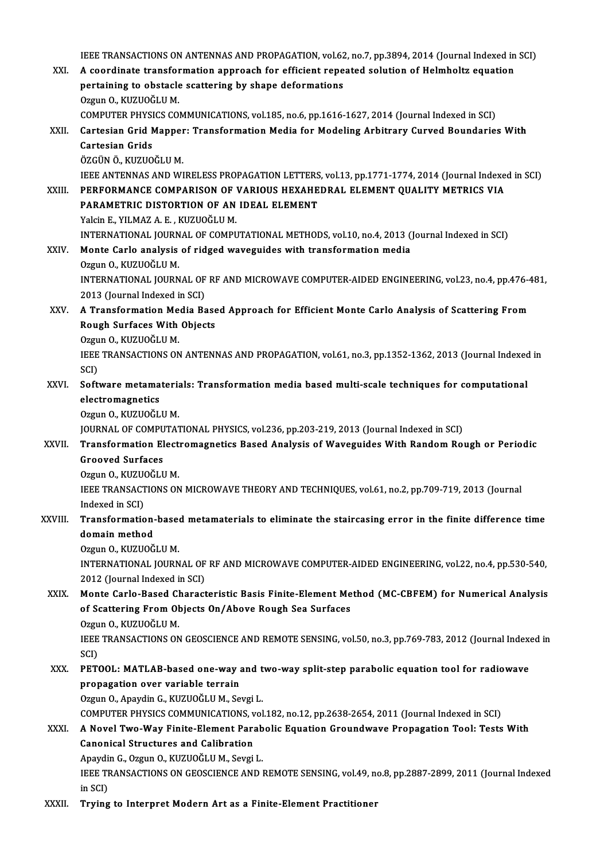IEEE TRANSACTIONS ON ANTENNAS AND PROPAGATION, vol.62, no.7, pp.3894, 2014 (Journal Indexed in SCI)<br>A seordinate transformation annuaceb for efficient repeated solution of Helmboltz coustion IEEE TRANSACTIONS ON ANTENNAS AND PROPAGATION, vol.62, no.7, pp.3894, 2014 (Journal Indexed in<br>XXI. A coordinate transformation approach for efficient repeated solution of Helmholtz equation IEEE TRANSACTIONS ON ANTENNAS AND PROPAGATION, vol.62<br>A coordinate transformation approach for efficient repe<br>pertaining to obstacle scattering by shape deformations<br>Orgun O, KUZUOČLUM A coordinate transformation approach for efficient repeated solution of Helmholtz equation<br>pertaining to obstacle scattering by shape deformations<br>Ozgun O., KUZUOĞLU M. pertaining to obstacle scattering by shape deformations<br>Ozgun 0., KUZUOĞLU M.<br>COMPUTER PHYSICS COMMUNICATIONS, vol.185, no.6, pp.1616-1627, 2014 (Journal Indexed in SCI)<br>Cartesian Crid Manner: Transformation Media for Mede Ozgun O., KUZUOĞLU M.<br>COMPUTER PHYSICS COMMUNICATIONS, vol.185, no.6, pp.1616-1627, 2014 (Journal Indexed in SCI)<br>XXII. Cartesian Grid Mapper: Transformation Media for Modeling Arbitrary Curved Boundaries With<br>Cartesian COMPUTER PHYSI<br>Cartesian Grid M<br>Cartesian Grids<br>ÖZCÜN Ö-KUZUO Cartesian Grid Mapper<br>Cartesian Grids<br>ÖZGÜN Ö., KUZUOĞLU M.<br>IEEE ANTENNAS AND WI Cartesian Grids<br>ÖZGÜN Ö., KUZUOĞLU M.<br>IEEE ANTENNAS AND WIRELESS PROPAGATION LETTERS, vol.13, pp.1771-1774, 2014 (Journal Indexed in SCI)<br>REREORMANCE COMPARISON OF VARIOUS HEYAHEDRAL ELEMENT QUALITY METRICS VIA ÖZGÜN Ö., KUZUOĞLU M.<br>IEEE ANTENNAS AND WIRELESS PROPAGATION LETTERS, vol.13, pp.1771-1774, 2014 (Journal Indexe<br>XXIII. PERFORMANCE COMPARISON OF VARIOUS HEXAHEDRAL ELEMENT QUALITY METRICS VIA IEEE ANTENNAS AND WIRELESS PROPAGATION LETTERS<br>PERFORMANCE COMPARISON OF VARIOUS HEXAHE<br>PARAMETRIC DISTORTION OF AN IDEAL ELEMENT<br>Vakin E. VILMAZ A. E., KUZUQČLLLM PERFORMANCE COMPARISON OF<br>PARAMETRIC DISTORTION OF AN<br>Yalcin E., YILMAZ A. E. , KUZUOĞLU M.<br>INTERNATIONAL JOURNAL OF COMBI PARAMETRIC DISTORTION OF AN IDEAL ELEMENT<br>Yalcin E., YILMAZ A. E. , KUZUOĞLU M.<br>INTERNATIONAL JOURNAL OF COMPUTATIONAL METHODS, vol.10, no.4, 2013 (Journal Indexed in SCI) Yalcin E., YILMAZ A. E., KUZUOĞLU M.<br>INTERNATIONAL JOURNAL OF COMPUTATIONAL METHODS, vol.10, no.4, 2013 (<br>XXIV. Monte Carlo analysis of ridged waveguides with transformation media<br>Ozgun O. KUZUOČLU M INTERNATIONAL JOURN<br>Monte Carlo analysis<br>Ozgun O., KUZUOĞLU M.<br>INTERNATIONAL JOURN Monte Carlo analysis of ridged waveguides with transformation media<br>Ozgun 0., KUZUOĞLU M.<br>INTERNATIONAL JOURNAL OF RF AND MICROWAVE COMPUTER-AIDED ENGINEERING, vol.23, no.4, pp.476-481,<br>2012 (Journal Indoved in SCD Ozgun O., KUZUOĞLU M.<br>INTERNATIONAL JOURNAL OF<br>2013 (Journal Indexed in SCI)<br>A Transformation Media Be INTERNATIONAL JOURNAL OF RF AND MICROWAVE COMPUTER-AIDED ENGINEERING, vol.23, no.4, pp.476-4<br>2013 (Journal Indexed in SCI)<br>XXV. A Transformation Media Based Approach for Efficient Monte Carlo Analysis of Scattering From 2013 (Journal Indexed in SCI)<br>A Transformation Media Base<br>Rough Surfaces With Objects<br>Ozwy O, KUZUOČLUM **A Transformation Me<br>Rough Surfaces With<br>Ozgun O., KUZUOĞLU M.<br>JEEE TRANSACTIONS ON** Rough Surfaces With Objects<br>Ozgun O., KUZUOĞLU M.<br>IEEE TRANSACTIONS ON ANTENNAS AND PROPAGATION, vol.61, no.3, pp.1352-1362, 2013 (Journal Indexed in<br>SCI) Ozgun O., KUZUOĞLU M. IEEE TRANSACTIONS ON ANTENNAS AND PROPAGATION, vol.61, no.3, pp.1352-1362, 2013 (Journal Indexed<br>SCI)<br>XXVI. Software metamaterials: Transformation media based multi-scale techniques for computational<br>clastromagnetics SCI)<br>Software metama<br>electromagnetics<br>Ozaun O. KUZUOČI Software metamateria<br>electromagnetics<br>Ozgun O., KUZUOĞLU M.<br>IOUPNAL OE COMBUTAT electromagnetics<br>Ozgun O., KUZUOĞLU M.<br>JOURNAL OF COMPUTATIONAL PHYSICS, vol.236, pp.203-219, 2013 (Journal Indexed in SCI)<br>Transformation Elestromagnetiss Based Analysis of Wayequides With Bandom Boy Ozgun O., KUZUOĞLU M.<br>JOURNAL OF COMPUTATIONAL PHYSICS, vol.236, pp.203-219, 2013 (Journal Indexed in SCI)<br>XXVII. Transformation Electromagnetics Based Analysis of Waveguides With Random Rough or Periodic<br>Crooved Surfa **JOURNAL OF COMPU<br>Transformation El<br>Grooved Surfaces**<br>Ozzun O. KUZUOČLI **Transformation Elect:<br>Grooved Surfaces<br>Ozgun O., KUZUOĞLU M.<br>IEEE TRANSACTIONS ON** Grooved Surfaces<br>Ozgun 0., KUZUOĞLU M.<br>IEEE TRANSACTIONS ON MICROWAVE THEORY AND TECHNIQUES, vol.61, no.2, pp.709-719, 2013 (Journal Ozgun O., KUZUO<br>IEEE TRANSACI<br>Indexed in SCI)<br>Transformatio IEEE TRANSACTIONS ON MICROWAVE THEORY AND TECHNIQUES, vol.61, no.2, pp.709-719, 2013 (Journal<br>Indexed in SCI)<br>XXVIII. Transformation-based metamaterials to eliminate the staircasing error in the finite difference time<br>doma Indexed in SCI)<br>Transformation<br>domain method<br>Orgun O, KUZUOČ Transformation-base<br>domain method<br>Ozgun O., KUZUOĞLU M.<br>INTERNATIONAL JOURN domain method<br>Ozgun O., KUZUOĞLU M.<br>INTERNATIONAL JOURNAL OF RF AND MICROWAVE COMPUTER-AIDED ENGINEERING, vol.22, no.4, pp.530-540,<br>2012 (Journal Indoved in SCD Ozgun O., KUZUOĞLU M.<br>INTERNATIONAL JOURNAL OF<br>2012 (Journal Indexed in SCI)<br>Manta Carla Basad Charact INTERNATIONAL JOURNAL OF RF AND MICROWAVE COMPUTER-AIDED ENGINEERING, vol.22, no.4, pp.530-540,<br>2012 (Journal Indexed in SCI)<br>XXIX. Monte Carlo-Based Characteristic Basis Finite-Element Method (MC-CBFEM) for Numerical Anal 2012 (Journal Indexed in SCI)<br>Monte Carlo-Based Characteristic Basis Finite-Element Me<br>of Scattering From Objects On/Above Rough Sea Surfaces<br>Ozgun O, KUZUOČLUM Monte Carlo-Based Cl<br>of Scattering From Ol<br>Ozgun O., KUZUOĞLU M.<br>IEEE TPANSACTIONS ON of Scattering From Objects On/Above Rough Sea Surfaces<br>Ozgun O., KUZUOĞLU M.<br>IEEE TRANSACTIONS ON GEOSCIENCE AND REMOTE SENSING, vol.50, no.3, pp.769-783, 2012 (Journal Indexed in<br>SCD Ozgu<br>IEEE<br>SCI)<br>PET IEEE TRANSACTIONS ON GEOSCIENCE AND REMOTE SENSING, vol.50, no.3, pp.769-783, 2012 (Journal Indexestion)<br>SCI)<br>XXX. PETOOL: MATLAB-based one-way and two-way split-step parabolic equation tool for radiowave<br>nunnagation over SCI)<br>PETOOL: MATLAB-based one-way a<br>propagation over variable terrain<br>Ozgun Q. Apaydin C. KUZUQČLUM, Se PETOOL: MATLAB-based one-way and t<br>propagation over variable terrain<br>Ozgun O., Apaydin G., KUZUOĞLU M., Sevgi L.<br>COMBUTER BUYSICS COMMUNICATIONS vol propagation over variable terrain<br>Ozgun O., Apaydin G., KUZUOĞLU M., Sevgi L.<br>COMPUTER PHYSICS COMMUNICATIONS, vol.182, no.12, pp.2638-2654, 2011 (Journal Indexed in SCI) XXXI. A Novel Two-Way Finite-Element Parabolic Equation Groundwave Propagation Tool: TestsWith Canonical Structures and Calibration A Novel Two-Way Finite-Element Parab<br>Canonical Structures and Calibration<br>Apaydin G., Ozgun O., KUZUOĞLU M., Sevgi L.<br>IEEE TRANSACTIONS ON CEOSCIENCE AND L IEEE TRANSACTIONS ON GEOSCIENCE AND REMOTE SENSING, vol.49, no.8, pp.2887-2899, 2011 (Journal Indexed<br>in SCI) Apaydi<br>IEEE TF<br>in SCI)<br>Truins XXXII. Trying to Interpret Modern Art as a Finite-Element Practitioner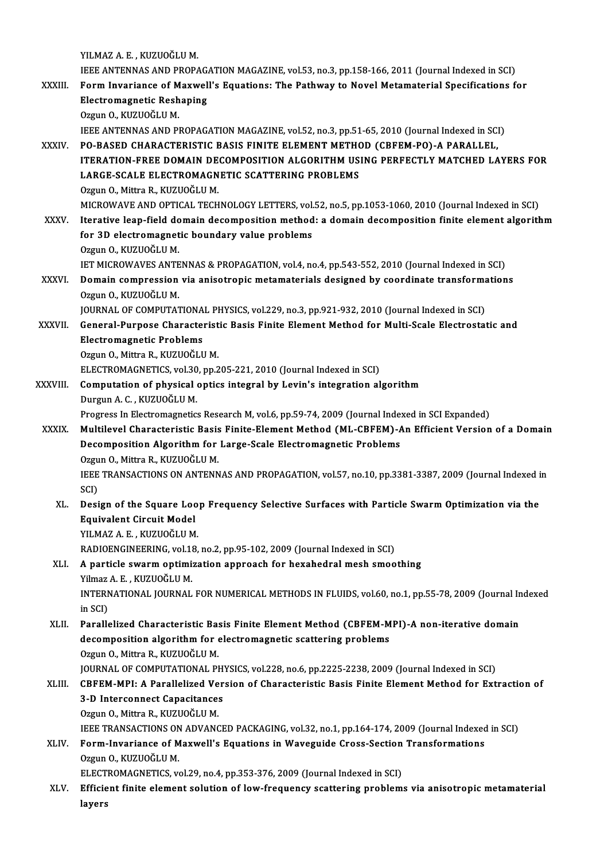YILMAZA.E. ,KUZUOĞLUM. YILMAZ A. E. , KUZUOĞLU M.<br>IEEE ANTENNAS AND PROPAGATION MAGAZINE, vol.53, no.3, pp.158-166, 2011 (Journal Indexed in SCI)<br>Form Inverience of Movyall's Faustions: The Pathway to Noval Matematerial Specifications fo YILMAZ A. E. , KUZUOĞLU M.<br>IEEE ANTENNAS AND PROPAGATION MAGAZINE, vol.53, no.3, pp.158-166, 2011 (Journal Indexed in SCI)<br>XXXIII. Form Invariance of Maxwell's Equations: The Pathway to Novel Metamaterial Specification **IEEE ANTENNAS AND PROPAG.<br>Form Invariance of Maxwel<br>Electromagnetic Reshaping<br>Orgun O. KUZUOČLUM** Form Invariance of Maxwell's Equations: The Pathway to Novel Metamaterial Specifications for Electromagnetic Reshaping<br>Ozgun O., KUZUOĞLU M. IEEE ANTENNAS AND PROPAGATION MAGAZINE, vol.52, no.3, pp.51-65, 2010 (Journal Indexed in SCI) Ozgun O., KUZUOĞLU M.<br>IEEE ANTENNAS AND PROPAGATION MAGAZINE, vol.52, no.3, pp.51-65, 2010 (Journal Indexed in SCI<br>XXXIV. PO-BASED CHARACTERISTIC BASIS FINITE ELEMENT METHOD (CBFEM-PO)-A PARALLEL,<br>ITERATION EREE DOMAIN IEEE ANTENNAS AND PROPAGATION MAGAZINE, vol.52, no.3, pp.51-65, 2010 (Journal Indexed in SCI)<br>PO-BASED CHARACTERISTIC BASIS FINITE ELEMENT METHOD (CBFEM-PO)-A PARALLEL,<br>ITERATION-FREE DOMAIN DECOMPOSITION ALGORITHM USING P PO-BASED CHARACTERISTIC BASIS FINITE ELEMENT METHOT<br>ITERATION-FREE DOMAIN DECOMPOSITION ALGORITHM US<br>LARGE-SCALE ELECTROMAGNETIC SCATTERING PROBLEMS<br>Ozgun O. Mitte B. KUZUQČLUM ITERATION-FREE DOMAIN DE<br>LARGE-SCALE ELECTROMAGN<br>Ozgun O., Mittra R., KUZUOĞLU M.<br>MICROWAVE AND OPTICAL TECH LARGE-SCALE ELECTROMAGNETIC SCATTERING PROBLEMS<br>Ozgun 0., Mittra R., KUZUOĞLU M.<br>MICROWAVE AND OPTICAL TECHNOLOGY LETTERS, vol.52, no.5, pp.1053-1060, 2010 (Journal Indexed in SCI)<br>Itarative Jean-field demain decemposition Ozgun O., Mittra R., KUZUOĞLU M.<br>MICROWAVE AND OPTICAL TECHNOLOGY LETTERS, vol.52, no.5, pp.1053-1060, 2010 (Journal Indexed in SCI)<br>XXXV. Iterative leap-field domain decomposition method: a domain decomposition finite MICROWAVE AND OPTICAL TECHNOLOGY LETTERS, vol.<br>Iterative leap-field domain decomposition method<br>for 3D electromagnetic boundary value problems<br>Ozzun O, KUZUOČLUM Iterative leap-field domain decomposition method: a domain decomposition finite element algorithm<br>for 3D electromagnetic boundary value problems<br>Ozgun O., KUZUOĞLU M. for 3D electromagnetic boundary value problems<br>Ozgun 0., KUZUOĞLU M.<br>IET MICROWAVES ANTENNAS & PROPAGATION, vol.4, no.4, pp.543-552, 2010 (Journal Indexed in SCI)<br>Domain compression via anisotronis metameterials designed b Ozgun O., KUZUOĞLU M.<br>IET MICROWAVES ANTENNAS & PROPAGATION, vol.4, no.4, pp.543-552, 2010 (Journal Indexed in SCI)<br>XXXVI. Domain compression via anisotropic metamaterials designed by coordinate transformations<br>Ozgun O **IET MICROWAVES ANTE<br>Domain compression<br>Ozgun O., KUZUOĞLU M.**<br>JOUPNAL OE COMBUTAT Domain compression via anisotropic metamaterials designed by coordinate transforma<br>Ozgun O., KUZUOĞLU M.<br>JOURNAL OF COMPUTATIONAL PHYSICS, vol.229, no.3, pp.921-932, 2010 (Journal Indexed in SCI)<br>Conoral Burnase Characteri Ozgun O., KUZUOĞLU M.<br>JOURNAL OF COMPUTATIONAL PHYSICS, vol.229, no.3, pp.921-932, 2010 (Journal Indexed in SCI)<br>XXXVII. General-Purpose Characteristic Basis Finite Element Method for Multi-Scale Electrostatic and<br>Flast JOURNAL OF COMPUTATIONAL PHYSICS, vol.229, no.3, pp.921-932, 2010 (Journal Indexed in SCI)<br>General-Purpose Characteristic Basis Finite Element Method for Multi-Scale Electrosta<br>Electromagnetic Problems<br>Ozgun O., Mittra R., General-Purpose Characterist<br>Electromagnetic Problems<br>Ozgun O., Mittra R., KUZUOĞLU M.<br>ELECTROMACNETICS vel 30 nn 2 ELECTROMAGNETICS, vol.30, pp.205-221, 2010 (Journal Indexed in SCI) Ozgun O., Mittra R., KUZUOĞLU M.<br>ELECTROMAGNETICS, vol.30, pp.205-221, 2010 (Journal Indexed in SCI)<br>XXXVIII. Computation of physical optics integral by Levin's integration algorithm<br>Durgun A. C. KUZUOČLU M. ELECTROMAGNETICS, vol.30<br>Computation of physical<br>Durgun A. C. , KUZUOĞLU M.<br>Progress In Electromagnetics Computation of physical optics integral by Levin's integration algorithm<br>Durgun A. C. , KUZUOĞLU M.<br>Progress In Electromagnetics Research M, vol.6, pp.59-74, 2009 (Journal Indexed in SCI Expanded)<br>Multilevel Characteristic Durgun A. C. , KUZUOĞLU M.<br>Progress In Electromagnetics Research M, vol.6, pp.59-74, 2009 (Journal Indexed in SCI Expanded)<br>XXXIX. Multilevel Characteristic Basis Finite-Element Method (ML-CBFEM)-An Efficient Version of a Progress In Electromagnetics Research M, vol.6, pp.59-74, 2009 (Journal Inde:<br>Multilevel Characteristic Basis Finite-Element Method (ML-CBFEM)-4<br>Decomposition Algorithm for Large-Scale Electromagnetic Problems<br>Ozgun Q. Mit Multilevel Characteristic Basis<br>Decomposition Algorithm for<br>Ozgun O., Mittra R., KUZUOĞLU M.<br>IEEE TRANSACTIONS ON ANTENN Decomposition Algorithm for Large-Scale Electromagnetic Problems<br>Ozgun O., Mittra R., KUZUOĞLU M.<br>IEEE TRANSACTIONS ON ANTENNAS AND PROPAGATION, vol.57, no.10, pp.3381-3387, 2009 (Journal Indexed in<br>SCD Ozgu<br>IEEE<br>SCI)<br>Desi IEEE TRANSACTIONS ON ANTENNAS AND PROPAGATION, vol.57, no.10, pp.3381-3387, 2009 (Journal Indexed i<br>SCI)<br>XL. Design of the Square Loop Frequency Selective Surfaces with Particle Swarm Optimization via the<br>Faujualent Circui SCI)<br>Design of the Square Loc<br>Equivalent Circuit Model<br>YU MAZ A E - KUZUQČLU M **Design of the Square Loo<br>Equivalent Circuit Model<br>YILMAZ A. E. , KUZUOĞLU M.**<br>BADIOENCINEEPINC vol 19 Equivalent Circuit Model<br>YILMAZ A. E. , KUZUOĞLU M.<br>RADIOENGINEERING, vol.18, no.2, pp.95-102, 2009 (Journal Indexed in SCI)<br>A nartiale swarm ontimisation ennrosab for hovebedral mesh smoo YILMAZ A. E. , KUZUOĞLU M.<br>RADIOENGINEERING, vol.18, no.2, pp.95-102, 2009 (Journal Indexed in SCI)<br>XLI. A particle swarm optimization approach for hexahedral mesh smoothing<br>Yilmaz A. E. . KUZUOĞLU M. RADIOENGINEERING, vol.1<br>A particle swarm optimi<br>Yilmaz A. E. , KUZUOĞLU M.<br>INTERNATIONAL JOURNAL A particle swarm optimization approach for hexahedral mesh smoothing<br>Yilmaz A. E. , KUZUOĞLU M.<br>INTERNATIONAL JOURNAL FOR NUMERICAL METHODS IN FLUIDS, vol.60, no.1, pp.55-78, 2009 (Journal Indexed<br>in SCD Yilmaz<br>INTERN<br>in SCI)<br>Paralle INTERNATIONAL JOURNAL FOR NUMERICAL METHODS IN FLUIDS, vol.60, no.1, pp.55-78, 2009 (Journal In<br>in SCI)<br>XLII. Parallelized Characteristic Basis Finite Element Method (CBFEM-MPI)-A non-iterative domain<br>decomposition algorit in SCI)<br>Parallelized Characteristic Basis Finite Element Method (CBFEM-M<br>decomposition algorithm for electromagnetic scattering problems<br>Ozgun Q. Mittre R. KUZUQČLUM decomposition algorithm for electromagnetic scattering problems<br>Ozgun O., Mittra R., KUZUOĞLU M. decomposition algorithm for electromagnetic scattering problems<br>Ozgun O., Mittra R., KUZUOĞLU M.<br>JOURNAL OF COMPUTATIONAL PHYSICS, vol.228, no.6, pp.2225-2238, 2009 (Journal Indexed in SCI)<br>CREEM MPL A Perpllalized Version Ozgun O., Mittra R., KUZUOĞLU M.<br>JOURNAL OF COMPUTATIONAL PHYSICS, vol.228, no.6, pp.2225-2238, 2009 (Journal Indexed in SCI)<br>XLIII. CBFEM-MPI: A Parallelized Version of Characteristic Basis Finite Element Method for E JOURNAL OF COMPUTATIONAL PH<br>CBFEM-MPI: A Parallelized Ver<br>3-D Interconnect Capacitances<br>Ozzun O. Mittre B. KUZUOČLUM CBFEM-MPI: A Parallelized Ve<br>3-D Interconnect Capacitance:<br>Ozgun O., Mittra R., KUZUOĞLU M.<br>IEEE TRANSACTIONS ON ADVANC 3-D Interconnect Capacitances<br>Ozgun O., Mittra R., KUZUOĞLU M.<br>IEEE TRANSACTIONS ON ADVANCED PACKAGING, vol.32, no.1, pp.164-174, 2009 (Journal Indexed in SCI)<br>Form Inverience of Movyvell's Fouetions in Woveguide Cross Sec Ozgun O., Mittra R., KUZUOĞLU M.<br>IEEE TRANSACTIONS ON ADVANCED PACKAGING, vol.32, no.1, pp.164-174, 2009 (Journal Indexed<br>XLIV. Form-Invariance of Maxwell's Equations in Waveguide Cross-Section Transformations<br>Orgun O. **IEEE TRANSACTIONS ON<br>Form-Invariance of M<br>Ozgun O., KUZUOĞLU M.**<br>ELECTROMACNETICS ... Form-Invariance of Maxwell's Equations in Waveguide Cross-Section<br>Ozgun 0., KUZUOĞLU M.<br>ELECTROMAGNETICS, vol.29, no.4, pp.353-376, 2009 (Journal Indexed in SCI)<br>Efficient finite element solution of low frequency sestionin Ozgun O., KUZUOĞLU M.<br>ELECTROMAGNETICS, vol.29, no.4, pp.353-376, 2009 (Journal Indexed in SCI)<br>XLV. Efficient finite element solution of low-frequency scattering problems via anisotropic metamaterial ELECT<br><mark>Efficie</mark><br>layers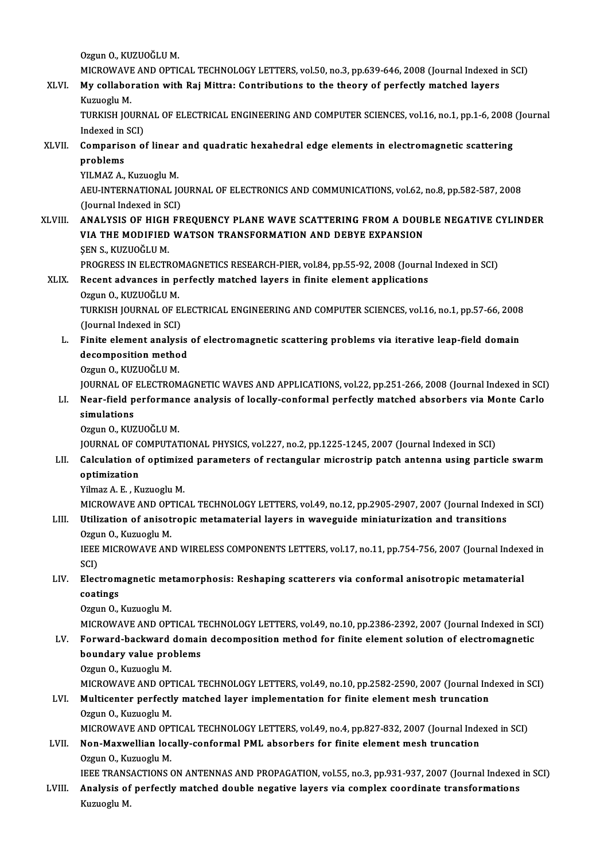Ozgun O., KUZUOĞLU M.

Ozgun O., KUZUOĞLU M.<br>MICROWAVE AND OPTICAL TECHNOLOGY LETTERS, vol.50, no.3, pp.639-646, 2008 (Journal Indexed in SCI)<br>My sellaberation with Boi Mittrey Contributions to the theory of perfectly matched levers

Ozgun O., KUZUOĞLU M.<br>MICROWAVE AND OPTICAL TECHNOLOGY LETTERS, vol.50, no.3, pp.639-646, 2008 (Journal Indexed<br>XLVI. My collaboration with Raj Mittra: Contributions to the theory of perfectly matched layers<br>Exampely M MICROWAVE<br><mark>My collabo</mark>l<br>Kuzuoglu M.<br>TURKISH JOL My collaboration with Raj Mittra: Contributions to the theory of perfectly matched layers<br>Kuzuoglu M.<br>TURKISH JOURNAL OF ELECTRICAL ENGINEERING AND COMPUTER SCIENCES, vol.16, no.1, pp.1-6, 2008 (Journal<br>Indoved in SCL)

Kuzuoglu M.<br>TURKISH JOURN<br>Indexed in SCI)<br>Comnarison O TURKISH JOURNAL OF ELECTRICAL ENGINEERING AND COMPUTER SCIENCES, vol.16, no.1, pp.1-6, 2008<br>Indexed in SCI)<br>XLVII. Comparison of linear and quadratic hexahedral edge elements in electromagnetic scattering<br>nrablams

Indexed in<br>Comparise<br>problems<br><sup>VII MA7</sup> A Comparison of linear<br>problems<br>YILMAZ A., Kuzuoglu M.<br>AEU INTERNATIONAL IO

problems<br>YILMAZ A., Kuzuoglu M.<br>AEU-INTERNATIONAL JOURNAL OF ELECTRONICS AND COMMUNICATIONS, vol.62, no.8, pp.582-587, 2008<br>(Journal Indoved in SCD YILMAZ A., Kuzuoglu M.<br>AEU-INTERNATIONAL JO<br>(Journal Indexed in SCI)<br>ANAL VSIS OF HICH FR AEU-INTERNATIONAL JOURNAL OF ELECTRONICS AND COMMUNICATIONS, vol.62, no.8, pp.582-587, 2008<br>(Journal Indexed in SCI)<br>XLVIII. ANALYSIS OF HIGH FREQUENCY PLANE WAVE SCATTERING FROM A DOUBLE NEGATIVE CYLINDER<br>VIA THE MODIEIED

## (Journal Indexed in SCI)<br>ANALYSIS OF HIGH FREQUENCY PLANE WAVE SCATTERING FROM A DOUE<br>VIA THE MODIFIED WATSON TRANSFORMATION AND DEBYE EXPANSION<br>SEN S. KUZUQČLU M VIA THE MODIFIED WATSON TRANSFORMATION AND DEBYE EXPANSION SEN S., KUZUOĞLUM. VIA THE MODIFIED WATSON TRANSFORMATION AND DEBYE EXPANSION<br>ŞEN S., KUZUOĞLU M.<br>PROGRESS IN ELECTROMAGNETICS RESEARCH-PIER, vol.84, pp.55-92, 2008 (Journal Indexed in SCI)<br>Besent advances in nerfectly matched lavers in fini

# SEN S., KUZUOĞLU M.<br>PROGRESS IN ELECTROMAGNETICS RESEARCH-PIER, vol.84, pp.55-92, 2008 (Journa<br>XLIX. Recent advances in perfectly matched layers in finite element applications<br>Orgun O. KUZUOĞLU M PROGRESS IN ELECTROM<br>Recent advances in port<br>Ozgun O., KUZUOĞLU M.<br>TURKISH JOUPNAL OF F

Recent advances in perfectly matched layers in finite element applications<br>Ozgun 0., KUZUOĞLU M.<br>TURKISH JOURNAL OF ELECTRICAL ENGINEERING AND COMPUTER SCIENCES, vol.16, no.1, pp.57-66, 2008<br>(Jaunnal Indoved in SCI) Ozgun O., KUZUOĞLU M.<br>TURKISH JOURNAL OF EI<br>(Journal Indexed in SCI)<br>Einite element analysi TURKISH JOURNAL OF ELECTRICAL ENGINEERING AND COMPUTER SCIENCES, vol.16, no.1, pp.57-66, 2008<br>(Journal Indexed in SCI)<br>L. Finite element analysis of electromagnetic scattering problems via iterative leap-field domain<br>decom

## (Journal Indexed in SCI)<br>Finite element analysis<br>decomposition method<br>Ozzun O, KUZUOČLU M Finite element analys<br>decomposition metho<br>Ozgun O., KUZUOĞLU M.<br>JOUPNAL OE ELECTPOM decomposition method<br>Ozgun O., KUZUOĞLU M.<br>JOURNAL OF ELECTROMAGNETIC WAVES AND APPLICATIONS, vol.22, pp.251-266, 2008 (Journal Indexed in SCI)<br>Near field performance analysis of locally, conformal perfectly matched absorb

#### Ozgun O., KUZUOĞLU M.<br>1900 JOURNAL OF ELECTROMAGNETIC WAVES AND APPLICATIONS, vol.22, pp.251-266, 2008 (Journal Indexed in SCI) JOUR<br>1. Near-field performance analysis of locally-conformal perfectly matched absorbers via M **JOURNAL OF<br>Near-field p<br>simulations**<br>Oggun O. KUZ LI. Near-field performance analysis of locally-conformal perfectly matched absorbers via Monte Carlo simulations<br>Ozgun O., KUZUOĞLU M.

JOURNAL OF COMPUTATIONAL PHYSICS, vol.227, no.2, pp.1225-1245, 2007 (Journal Indexed in SCI)

#### Ozgun O., KUZUOĞLU M.<br>JOURNAL OF COMPUTATIONAL PHYSICS, vol.227, no.2, pp.1225-1245, 2007 (Journal Indexed in SCI)<br>LII. Calculation of optimized parameters of rectangular microstrip patch antenna using particle swarm<br>o **JOURNAL OF C**<br>Calculation o<br>optimization<br><sup>Vilmor A E - K</sub></sup> Calculation of optimize<br>optimization<br>Yilmaz A.E., Kuzuoglu M.<br>MICPOWAVE AND OPTIC optimization<br>Yilmaz A. E. , Kuzuoglu M.<br>MICROWAVE AND OPTICAL TECHNOLOGY LETTERS, vol.49, no.12, pp.2905-2907, 2007 (Journal Indexed in SCI)

# Yilmaz A. E. , Kuzuoglu M.<br>MICROWAVE AND OPTICAL TECHNOLOGY LETTERS, vol.49, no.12, pp.2905-2907, 2007 (Journal Indexe<br>LIII. Utilization of anisotropic metamaterial layers in waveguide miniaturization and transitions<br>Ozayn MICROWAVE AND OPT<br>Utilization of anisot<br>Ozgun O., Kuzuoglu M.<br>IEEE MICROWAVE ANI

Utilization of anisotropic metamaterial layers in waveguide miniaturization and transitions<br>Ozgun O., Kuzuoglu M.<br>IEEE MICROWAVE AND WIRELESS COMPONENTS LETTERS, vol.17, no.11, pp.754-756, 2007 (Journal Indexed in<br>SCD Ozgu<br>IEEE<br>SCI)<br>Elec IEEE MICROWAVE AND WIRELESS COMPONENTS LETTERS, vol.17, no.11, pp.754-756, 2007 (Journal Indexe<br>SCI)<br>LIV. Electromagnetic metamorphosis: Reshaping scatterers via conformal anisotropic metamaterial<br>contings

# SCI)<br>LIV. Electromagnetic metamorphosis: Reshaping scatterers via conformal anisotropic metamaterial<br>coatings coatings<br>Ozgun O., Kuzuoglu M.<br>MICROWAVE AND OPTICAL TECHNOLOGY LETTERS, vol.49, no.10, pp.2386-2392, 2007 (Journal Indexed in SCI)<br>Forward, baskward domain desemnesitien method for finite element selution of elestromegnet

Ozgun O., Kuzuoglu M.

#### Ozgun O., Kuzuoglu M.<br>MICROWAVE AND OPTICAL TECHNOLOGY LETTERS, vol.49, no.10, pp.2386-2392, 2007 (Journal Indexed in SC<br>LV. Forward-backward domain decomposition method for finite element solution of electromagnetic<br>hou MICROWAVE AND OPTICAL T<br>Forward-backward domain<br>boundary value problems<br>Ozzun O. Kuzueglu M LV. Forward-backward domain decomposition method for finite element solution of electromagnetic<br>boundary value problems<br>Ozgun O., Kuzuoglu M. boundary value problems<br>Ozgun O., Kuzuoglu M.<br>MICROWAVE AND OPTICAL TECHNOLOGY LETTERS, vol.49, no.10, pp.2582-2590, 2007 (Journal Indexed in SCI)<br>Multisenter perfectly matched laver implementation for finite element mesh

#### LVI. Multicenter perfectly matched layer implementation for finite element mesh truncation<br>Ozgun O., Kuzuoglu M. MICROWAVE AND OPT<br>Multicenter perfectl<br>Ozgun O., Kuzuoglu M.<br>MICROWAVE AND OPT Multicenter perfectly matched layer implementation for finite element mesh truncation<br>Ozgun O., Kuzuoglu M.<br>MICROWAVE AND OPTICAL TECHNOLOGY LETTERS, vol.49, no.4, pp.827-832, 2007 (Journal Indexed in SCI)<br>Non Morwellian l Ozgun O., Kuzuoglu M.<br>MICROWAVE AND OPTICAL TECHNOLOGY LETTERS, vol.49, no.4, pp.827-832, 2007 (Journal Inde<br>LVII. Non-Maxwellian locally-conformal PML absorbers for finite element mesh truncation

## MICROWAVE AND OPT<br>Non-Maxwellian loc<br>Ozgun O., Kuzuoglu M.<br>IEEE TPANSACTIONS Non-Maxwellian locally-conformal PML absorbers for finite element mesh truncation<br>Ozgun O., Kuzuoglu M.<br>IEEE TRANSACTIONS ON ANTENNAS AND PROPAGATION, vol.55, no.3, pp.931-937, 2007 (Journal Indexed in SCI)

Ozgun O., Kuzuoglu M.<br>IEEE TRANSACTIONS ON ANTENNAS AND PROPAGATION, vol.55, no.3, pp.931-937, 2007 (Journal Indexed<br>LVIII. Analysis of perfectly matched double negative layers via complex coordinate transformations IEEE TRANS.<br><mark>Analysis of</mark><br>Kuzuoglu M.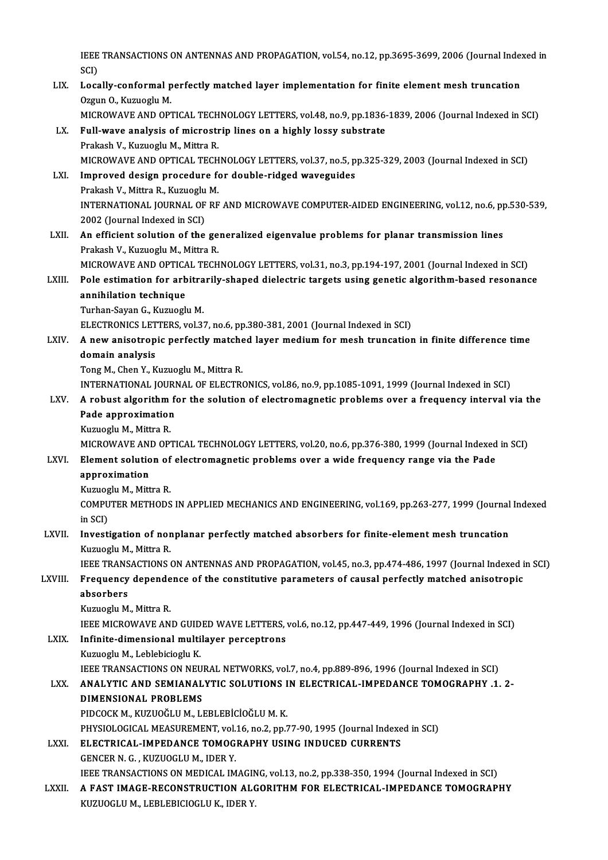IEEE TRANSACTIONS ON ANTENNAS AND PROPAGATION, vol.54, no.12, pp.3695-3699, 2006 (Journal Indexed in<br>SCD IEEE<br>SCI)<br>Logs IEEE TRANSACTIONS ON ANTENNAS AND PROPAGATION, vol.54, no.12, pp.3695-3699, 2006 (Journal Index<br>SCI)<br>LIX. Locally-conformal perfectly matched layer implementation for finite element mesh truncation<br>Orgun O. Kurusclu M

- SCI)<br>LIX. Locally-conformal perfectly matched layer implementation for finite element mesh truncation<br>Ozgun O., Kuzuoglu M. MICROWAVE AND OPTICAL TECHNOLOGY LETTERS, vol.48, no.9, pp.1836-1839, 2006 (Journal Indexed in SCI)
- LX. Full-wave analysis of microstrip lines on a highly lossy substrate Prakash V., Kuzuoglu M., Mittra R. MICROWAVEANDOPTICAL TECHNOLOGYLETTERS,vol.37,no.5,pp.325-329,2003 (Journal Indexed inSCI) Prakash V., Kuzuoglu M., Mittra R.<br>MICROWAVE AND OPTICAL TECHNOLOGY LETTERS, vol.37, no.5, p<br>LXI. Improved design procedure for double-ridged waveguides MICROWAVE AND OPTICAL TECH<br>Improved design procedure fo<br>Prakash V., Mittra R., Kuzuoglu M.<br>INTERNATIONAL JOURNAL OF RE
- INTERNATIONAL JOURNAL OF RF AND MICROWAVE COMPUTER-AIDED ENGINEERING, vol.12, no.6, pp.530-539,<br>2002 (Journal Indexed in SCI) Prakash V., Mittra R., Kuzuoglu M. INTERNATIONAL JOURNAL OF RF AND MICROWAVE COMPUTER-AIDED ENGINEERING, vol.12, no.6, pp<br>2002 (Journal Indexed in SCI)<br>LXII. An efficient solution of the generalized eigenvalue problems for planar transmission lines<br>Prokeck
- 2002 (Journal Indexed in SCI)<br>An efficient solution of the ge<br>Prakash V., Kuzuoglu M., Mittra R.<br>MICROWAVE AND OPTICAL TECH An efficient solution of the generalized eigenvalue problems for planar transmission lines<br>Prakash V., Kuzuoglu M., Mittra R.<br>MICROWAVE AND OPTICAL TECHNOLOGY LETTERS, vol.31, no.3, pp.194-197, 2001 (Journal Indexed in SCI

#### Prakash V., Kuzuoglu M., Mittra R.<br>MICROWAVE AND OPTICAL TECHNOLOGY LETTERS, vol.31, no.3, pp.194-197, 2001 (Journal Indexed in SCI)<br>LXIII. Pole estimation for arbitrarily-shaped dielectric targets using genetic algorithm-MICROWAVE AND OPTICA<br>Pole estimation for arb<br>annihilation technique<br>Turban Sayan G. Kuruegh Pole estimation for arbitrarily-shaped dielectric targets using genetic algorithm-based resonance<br>annihilation technique<br>Turhan-Sayan G., Kuzuoglu M. annihilation technique<br>Turhan-Sayan G., Kuzuoglu M.<br>ELECTRONICS LETTERS, vol.37, no.6, pp.380-381, 2001 (Journal Indexed in SCI)<br>A new enisatronis perfectly matched lever medium for mesh trunsation

Turhan-Sayan G., Kuzuoglu M.<br>ELECTRONICS LETTERS, vol.37, no.6, pp.380-381, 2001 (Journal Indexed in SCI)<br>LXIV. A new anisotropic perfectly matched layer medium for mesh truncation in finite difference time ELECTRONICS LET<br>A new anisotrop<br>domain analysis<br>Tong M. Chan Y. K A new anisotropic perfectly matche<br>domain analysis<br>Tong M., Chen Y., Kuzuoglu M., Mittra R.<br>INTERNATIONAL JOURNAL OF ELECTR domain analysis<br>Tong M., Chen Y., Kuzuoglu M., Mittra R.<br>INTERNATIONAL JOURNAL OF ELECTRONICS, vol.86, no.9, pp.1085-1091, 1999 (Journal Indexed in SCI)<br>A robust algorithm for the solution of electromagnetic problems over

#### Tong M., Chen Y., Kuzuoglu M., Mittra R.<br>INTERNATIONAL JOURNAL OF ELECTRONICS, vol.86, no.9, pp.1085-1091, 1999 (Journal Indexed in SCI)<br>LXV. A robust algorithm for the solution of electromagnetic problems over a frequency INTERNATIONAL JOURI<br>A robust algorithm f<br>Pade approximation<br><sup>Kuruoclu M. Mittre P</sup> A robust algorithm<br>Pade approximatior<br>Kuzuoglu M., Mittra R.<br>MICPOWAVE AND OP Pade approximation<br>Kuzuoglu M., Mittra R.<br>MICROWAVE AND OPTICAL TECHNOLOGY LETTERS, vol.20, no.6, pp.376-380, 1999 (Journal Indexed in SCI)<br>Flament selution of electromegnatic problems even a vyde frequency range via the B

### Kuzuoglu M., Mittra R.<br>MICROWAVE AND OPTICAL TECHNOLOGY LETTERS, vol.20, no.6, pp.376-380, 1999 (Journal Indexed<br>LXVI. Element solution of electromagnetic problems over a wide frequency range via the Pade<br>approximation MICROWAVE ANI<br><mark>Element solutio</mark><br>approximation<br><sup>Kuruosiu M. Mitt</sup> Element solution of<br>approximation<br>Kuzuoglu M., Mittra R.<br>COMBUTER METHODS

COMPUTER METHODS IN APPLIED MECHANICS AND ENGINEERING, vol.169, pp.263-277, 1999 (Journal Indexed<br>in SCI) Kuzuog<br>COMPU<br>in SCI)<br>Investi COMPUTER METHODS IN APPLIED MECHANICS AND ENGINEERING, vol.169, pp.263-277, 1999 (Journal<br>in SCI)<br>LXVII. Investigation of nonplanar perfectly matched absorbers for finite-element mesh truncation<br>Expressive M. Mittee P.

# in SCI)<br>I<mark>nvestigation of nor</mark><br>Kuzuoglu M., Mittra R.<br>IEEE TRANSACTIONS Investigation of nonplanar perfectly matched absorbers for finite-element mesh truncation<br>Kuzuoglu M., Mittra R.<br>IEEE TRANSACTIONS ON ANTENNAS AND PROPAGATION, vol.45, no.3, pp.474-486, 1997 (Journal Indexed in SCI)<br>Encaue

## Kuzuoglu M., Mittra R.<br>IEEE TRANSACTIONS ON ANTENNAS AND PROPAGATION, vol.45, no.3, pp.474-486, 1997 (Journal Indexed i<br>LXVIII. Frequency dependence of the constitutive parameters of causal perfectly matched anisotropic<br>ab **IEEE TRANS<br>Frequency<br>absorbers**<br>Kuzuesh M

Kuzuoglu M., Mittra R.

IEEE MICROWAVE AND GUIDED WAVE LETTERS, vol.6, no.12, pp.447-449, 1996 (Journal Indexed in SCI)

#### LXIX. Infinite-dimensional multilayer perceptrons

Kuzuoglu M., Leblebicioglu K. I<mark>nfinite-dimensional multilayer perceptrons</mark><br>Kuzuoglu M., Leblebicioglu K.<br>IEEE TRANSACTIONS ON NEURAL NETWORKS, vol.7, no.4, pp.889-896, 1996 (Journal Indexed in SCI)<br>ANAL VTIC AND SEMIANAL VTIC SOLUTIONS IN ELECTRICAL I Kuzuoglu M., Leblebicioglu K.<br>IEEE TRANSACTIONS ON NEURAL NETWORKS, vol.7, no.4, pp.889-896, 1996 (Journal Indexed in SCI)<br>LXX. ANALYTIC AND SEMIANALYTIC SOLUTIONS IN ELECTRICAL-IMPEDANCE TOMOGRAPHY .1. 2-

# IEEE TRANSACTIONS ON NEU<br><mark>ANALYTIC AND SEMIANAL</mark><br>DIMENSIONAL PROBLEMS<br><sup>DIDCOCK M. KUZUQČUJM JJ</sup> ANALYTIC AND SEMIANALYTIC SOLUTIONS I<br>DIMENSIONAL PROBLEMS<br>PIDCOCK M., KUZUOĞLU M., LEBLEBİCİOĞLU M. K.<br>PHYSIOLOCICAL MEASUPEMENT vol 16 no 2 nn 2

DIMENSIONAL PROBLEMS<br>PIDCOCK M., KUZUOĞLU M., LEBLEBİCİOĞLU M. K.<br>PHYSIOLOGICAL MEASUREMENT, vol.16, no.2, pp.77-90, 1995 (Journal Indexed in SCI) PIDCOCK M., KUZUOĞLU M., LEBLEBİCİOĞLU M. K.<br>PHYSIOLOGICAL MEASUREMENT, vol.16, no.2, pp.77-90, 1995 (Journal Indexe<br>LXXI. ELECTRICAL-IMPEDANCE TOMOGRAPHY USING INDUCED CURRENTS<br>CENCER N.C. KUZUOCLU M. JDER V.

PHYSIOLOGICAL MEASUREMENT, vol.<br>ELECTRICAL-IMPEDANCE TOMOG<br>GENCER N. G. , KUZUOGLU M., IDER Y.<br>JEEE TRANSACTIONS ON MEDICAL IM

GENCER N. G. , KUZUOGLU M., IDER Y.<br>IEEE TRANSACTIONS ON MEDICAL IMAGING, vol.13, no.2, pp.338-350, 1994 (Journal Indexed in SCI)

GENCER N. G. , KUZUOGLU M., IDER Y.<br>IEEE TRANSACTIONS ON MEDICAL IMAGING, vol.13, no.2, pp.338-350, 1994 (Journal Indexed in SCI)<br>LXXII. A FAST IMAGE-RECONSTRUCTION ALGORITHM FOR ELECTRICAL-IMPEDANCE TOMOGRAPHY IEEE TRANSACTIONS ON MEDICAL IMAGIN<br><mark>A FAST IMAGE-RECONSTRUCTION AL(</mark><br>KUZUOGLU M., LEBLEBICIOGLU K., IDER Y.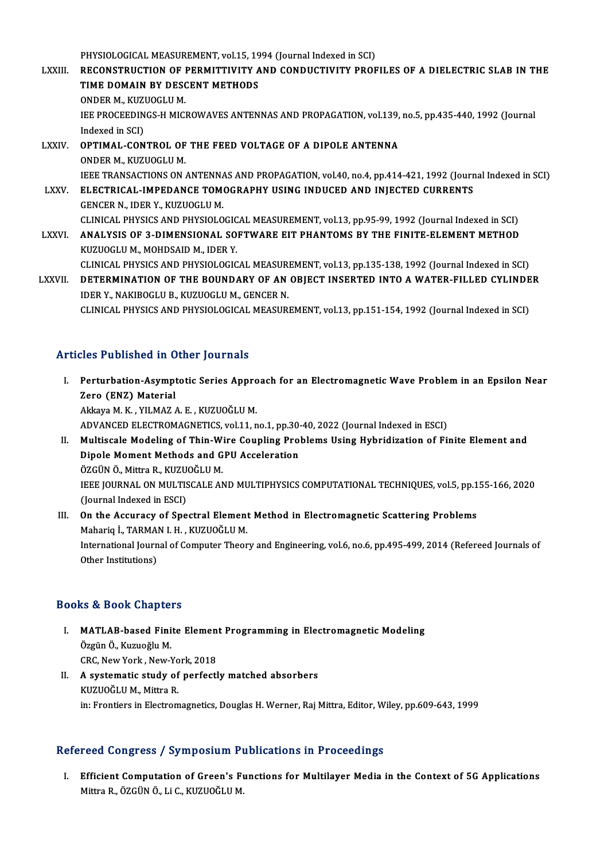PHYSIOLOGICAL MEASUREMENT, vol.15, 1994 (Journal Indexed in SCI)

PHYSIOLOGICAL MEASUREMENT, vol.15, 1994 (Journal Indexed in SCI)<br>LXXIII. RECONSTRUCTION OF PERMITTIVITY AND CONDUCTIVITY PROFILES OF A DIELECTRIC SLAB IN THE PHYSIOLOGICAL MEASUREMENT, vol.15, 19<br>RECONSTRUCTION OF PERMITTIVITY A<br>TIME DOMAIN BY DESCENT METHODS<br>ONDER M. KUZUOCUM RECONSTRUCTION OF I<br>TIME DOMAIN BY DESC<br>ONDER M., KUZUOGLU M.<br>JEE PROCEEDINGS H MIC TIME DOMAIN BY DESCENT METHODS<br>ONDER M., KUZUOGLU M.<br>IEE PROCEEDINGS-H MICROWAVES ANTENNAS AND PROPAGATION, vol.139, no.5, pp.435-440, 1992 (Journal<br>Indoved in SCD. ONDER M., KUZ<br>IEE PROCEEDIN<br>Indexed in SCI)<br>OPTIMAL CON IEE PROCEEDINGS-H MICROWAVES ANTENNAS AND PROPAGATION, vol.139,<br>Indexed in SCI)<br>LXXIV. OPTIMAL-CONTROL OF THE FEED VOLTAGE OF A DIPOLE ANTENNA<br>ONDER M. KUZUOCLU M Indexed in SCI)<br>OPTIMAL-CONTROL OF<br>ONDER M., KUZUOGLU M.<br>JEEE TRANSACTIONS ON

OPTIMAL-CONTROL OF THE FEED VOLTAGE OF A DIPOLE ANTENNA<br>ONDER M., KUZUOGLU M.<br>IEEE TRANSACTIONS ON ANTENNAS AND PROPAGATION, vol.40, no.4, pp.414-421, 1992 (Journal Indexed in SCI)<br>ELECTRICAL IMPEDANCE TOMOCRARUY USINC IND ONDER M., KUZUOGLU M.<br>IEEE TRANSACTIONS ON ANTENNAS AND PROPAGATION, vol.40, no.4, pp.414-421, 1992 (Journ LXXV.<br>LXXV. ELECTRICAL-IMPEDANCE TOMOGRAPHY USING INDUCED AND INJECTED CURRENTS<br>GENCER N., IDER Y., KUZUOGLU M.

**IEEE TRANSACTIONS ON ANTENNA<br>ELECTRICAL-IMPEDANCE TOME<br>GENCER N., IDER Y., KUZUOGLU M.<br>CLINICAL BUYSICS AND BUYSIOLO** ELECTRICAL-IMPEDANCE TOMOGRAPHY USING INDUCED AND INJECTED CURRENTS<br>GENCER N., IDER Y., KUZUOGLU M.<br>CLINICAL PHYSICS AND PHYSIOLOGICAL MEASUREMENT, vol.13, pp.95-99, 1992 (Journal Indexed in SCI)<br>ANALYSIS OF 2, DIMENSIONAL GENCER N., IDER Y., KUZUOGLU M.<br>CLINICAL PHYSICS AND PHYSIOLOGICAL MEASUREMENT, vol.13, pp.95-99, 1992 (Journal Indexed in SCI)<br>LXXVI. ANALYSIS OF 3-DIMENSIONAL SOFTWARE EIT PHANTOMS BY THE FINITE-ELEMENT METHOD

ANALYSIS OF 3-DIMENSIONAL SOFTWARE EIT PHANTOMS BY THE FINITE-ELEMENT METHOD KUZUOGLUM., MOHDSAID M., IDER Y. CLINICAL PHYSICS AND PHYSIOLOGICAL MEASUREMENT, vol.13, pp.135-138, 1992 (Journal Indexed in SCI)

KUZUOGLU M., MOHDSAID M., IDER Y.<br>CLINICAL PHYSICS AND PHYSIOLOGICAL MEASUREMENT, vol.13, pp.135-138, 1992 (Journal Indexed in SCI)<br>LXXVII. DETERMINATION OF THE BOUNDARY OF AN OBJECT INSERTED INTO A WATER-FILLED CYLIND CLINICAL PHYSICS AND PHYSIOLOGICAL MEASURING<br>**THE BOUNDARY OF AN IDERY.**<br>IDER Y., NAKIBOGLU B., KUZUOGLU M., GENCER N.<br>CLINICAL BHYSICS AND BHYSIOLOGICAL MEASURI DETERMINATION OF THE BOUNDARY OF AN OBJECT INSERTED INTO A WATER-FILLED CYLINDE<br>IDER Y., NAKIBOGLU B., KUZUOGLU M., GENCER N.<br>CLINICAL PHYSICS AND PHYSIOLOGICAL MEASUREMENT, vol.13, pp.151-154, 1992 (Journal Indexed in SCI CLINICAL PHYSICS AND PHYSIOLOGICAL MEASUREMENT, vol.13, pp.151-154, 1992 (Journal Indexed in SCI)<br>Articles Published in Other Journals

I. Perturbation-Asymptotic Series Approach for an Electromagnetic Wave Problem in an Epsilon Near Zero (ENZ) Material Akkaya M.K., YILMAZ A.E., KUZUOĞLU M. ADVANCED ELECTROMAGNETICS, vol.11, no.1, pp.30-40, 2022 (Journal Indexed in ESCI) Akkaya M. K. , YILMAZ A. E. , KUZUOĞLU M.<br>ADVANCED ELECTROMAGNETICS, vol.11, no.1, pp.30-40, 2022 (Journal Indexed in ESCI)<br>II. Multiscale Modeling of Thin-Wire Coupling Problems Using Hybridization of Finite Element and<br>D ADVANCED ELECTROMAGNETICS, vol.11, no.1, pp.30-<br>Multiscale Modeling of Thin-Wire Coupling Pro<br>Dipole Moment Methods and GPU Acceleration<br>ÖZCÜNÖ, Mittre B, KUZUQČLUM Multiscale Modeling of Thin-W<br>Dipole Moment Methods and G<br>ÖZGÜN Ö., Mittra R., KUZUOĞLU M.<br>JEEE JOUPNAL ON MULTISCALE AN Dipole Moment Methods and GPU Acceleration<br>ÖZGÜN Ö., Mittra R., KUZUOĞLU M.<br>IEEE JOURNAL ON MULTISCALE AND MULTIPHYSICS COMPUTATIONAL TECHNIQUES, vol.5, pp.155-166, 2020<br>(Jaunnal Indoved in ESCL)

ÖZGÜN Ö., Mittra R., KUZU<br>IEEE JOURNAL ON MULTIS<br>(Journal Indexed in ESCI)<br>On the Assuresy of Sne IEEE JOURNAL ON MULTISCALE AND MULTIPHYSICS COMPUTATIONAL TECHNIQUES, vol.5, pp.1<br>(Journal Indexed in ESCI)<br>III. On the Accuracy of Spectral Element Method in Electromagnetic Scattering Problems<br>Moharia J. TARMAN L.H., KUZ

### (Journal Indexed in ESCI)<br>III. On the Accuracy of Spectral Element Method in Electromagnetic Scattering Problems<br>Mahariq İ., TARMAN I. H. , KUZUOĞLU M. On the Accuracy of Spectral Element Method in Electromagnetic Scattering Problems<br>Mahariq İ., TARMAN I. H. , KUZUOĞLU M.<br>International Journal of Computer Theory and Engineering, vol.6, no.6, pp.495-499, 2014 (Refereed Jou Mahariq İ., TARMAl<br>International Journ<br>Other Institutions)

# 0ther Institutions)<br>Books & Book Chapters

- ooks & Book Chapters<br>I. MATLAB-based Finite Element Programming in Electromagnetic Modeling<br>Össün Ö. Kurueğlu M to & Soon Ghapto.<br>MATLAB-based Fini<br>Özgün Ö., Kuzuoğlu M.<br>CBC New Yerk, New Y MATLAB-based Finite Elemen<br>Özgün Ö., Kuzuoğlu M.<br>CRC, New York , New-York, 2018<br>A systematis study of perfectl Özgün Ö., Kuzuoğlu M.<br>CRC, New York , New-York, 2018<br>II. A systematic study of perfectly matched absorbers<br>EUIZUQČLU M. Mitre B
- CRC, New York , New-Yo<br>A systematic study of<br>KUZUOĞLU M., Mittra R.<br>in: Erontiers in Electrom KUZUOĞLU M., Mittra R.<br>in: Frontiers in Electromagnetics, Douglas H. Werner, Raj Mittra, Editor, Wiley, pp.609-643, 1999

#### Refereed Congress / Symposium Publications in Proceedings

efereed Congress / Symposium Publications in Proceedings<br>I. Efficient Computation of Green's Functions for Multilayer Media in the Context of 5G Applications<br>Mitre P. ÖZCÜNÖ Li.C. KUZUOČLUM 1994 Göngröss 7 by mpostam 1<br>Efficient Computation of Green's Fi<br>Mittra R., ÖZGÜN Ö., Li C., KUZUOĞLU M.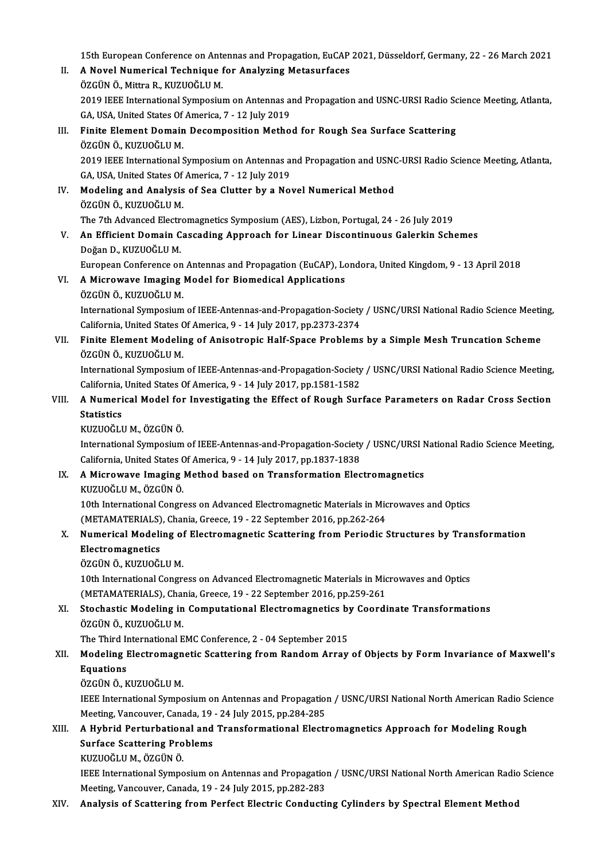15th European Conference on Antennas and Propagation, EuCAP 2021, Düsseldorf, Germany, 22 - 26 March 2021

- II. A Novel Numerical Technique for Analyzing Metasurfaces ÖZGÜNÖ., Mittra R., KUZUOĞLUM. A Novel Numerical Technique for Analyzing Metasurfaces<br>ÖZGÜN Ö., Mittra R., KUZUOĞLU M.<br>2019 IEEE International Symposium on Antennas and Propagation and USNC-URSI Radio Science Meeting, Atlanta,<br>CA. USA United States Of A ÖZGÜN Ö., Mittra R., KUZUOĞLU M.<br>2019 IEEE International Symposium on Antennas a<br>GA, USA, United States Of America, 7 - 12 July 2019<br>Finite Flament Demain Desemposition Methe GA, USA, United States Of America, 7 - 12 July 2019<br>III. Finite Element Domain Decomposition Method for Rough Sea Surface Scattering
- ÖZGÜNÖ., KUZUOĞLUM. Finite Element Domain Decomposition Method for Rough Sea Surface Scattering<br>ÖZGÜN Ö., KUZUOĞLU M.<br>2019 IEEE International Symposium on Antennas and Propagation and USNC-URSI Radio Science Meeting, Atlanta,<br>CA USA United St ÖZGÜN Ö., KUZUOĞLU M.<br>2019 IEEE International Symposium on Antennas a<br>GA, USA, United States Of America, 7 - 12 July 2019<br>Modeling and Analysis of See Clutter by a No 2019 IEEE International Symposium on Antennas and Propagation and USNC<br>GA, USA, United States Of America, 7 - 12 July 2019<br>IV. Modeling and Analysis of Sea Clutter by a Novel Numerical Method<br>ÖZCÜN Ö KUZUQĞLUM

GA, USA, United States Of<br>Modeling and Analysis<br>ÖZGÜN Ö., KUZUOĞLU M.<br>The 7th Advanced Electre ÖZGÜN Ö., KUZUOĞLU M.<br>The 7th Advanced Electromagnetics Symposium (AES), Lizbon, Portugal, 24 - 26 July 2019

V. An Efficient Domain Cascading Approach for Linear Discontinuous Galerkin Schemes DoğanD.,KUZUOĞLUM. An Efficient Domain Cascading Approach for Linear Discontinuous Galerkin Schemes<br>Doğan D., KUZUOĞLU M.<br>European Conference on Antennas and Propagation (EuCAP), Londora, United Kingdom, 9 - 13 April 2018<br>A Mianowaya Imaging

### VI. A Microwave Imaging Model for Biomedical Applications<br>ÖZGÜN Ö., KUZUOĞLU M. European Conference on<br>A Microwave Imaging<br>ÖZGÜN Ö., KUZUOĞLU M.<br>International Sumnosium

A Microwave Imaging Model for Biomedical Applications<br>ÖZGÜN Ö., KUZUOĞLU M.<br>International Symposium of IEEE-Antennas-and-Propagation-Society / USNC/URSI National Radio Science Meeting,<br>California United States Of America 0 ÖZGÜN Ö., KUZUOĞLU M.<br>International Symposium of IEEE-Antennas-and-Propagation-Society<br>California, United States Of America, 9 - 14 July 2017, pp.2373-2374<br>Finite Flament Modeling of Anisotropia Helf Spece Brobleme International Symposium of IEEE-Antennas-and-Propagation-Society / USNC/URSI National Radio Science Meetin<br>California, United States Of America, 9 - 14 July 2017, pp.2373-2374<br>VII. Finite Element Modeling of Anisotropic Ha

California, United States Of America, 9 - 14 July 2017, pp.2373-2374<br>Finite Element Modeling of Anisotropic Half-Space Problems by a Simple Mesh Truncation Scheme<br>ÖZGÜN Ö., KUZUOĞLU M.<br>International Symposium of IEEE-Anten Finite Element Modeling of Anisotropic Half-Space Problems by a Simple Mesh Truncation Scheme<br>ÖZGÜN Ö., KUZUOĞLU M.<br>International Symposium of IEEE-Antennas-and-Propagation-Society / USNC/URSI National Radio Science Meetin

ÖZGÜN Ö., KUZUOĞLU M.<br>International Symposium of IEEE-Antennas-and-Propagation-Society<br>California, United States Of America, 9 - 14 July 2017, pp.1581-1582<br>A Numerical Model for Investigating the Effect of Bough Sur

### VIII. A Numerical Model for Investigating the Effect of Rough Surface Parameters on Radar Cross Section<br>Statistics California,<br>**A Numeri<br>Statistics**<br>KUZUQČI I

KUZUOĞLUM.,ÖZGÜNÖ.

International Symposium of IEEE-Antennas-and-Propagation-Society / USNC/URSI National Radio Science Meeting, California, United States Of America, 9 - 14 July 2017, pp.1837-1838 International Symposium of IEEE-Antennas-and-Propagation-Society / USNC/URSI N<br>California, United States Of America, 9 - 14 July 2017, pp.1837-1838<br>IX. A Microwave Imaging Method based on Transformation Electromagnetics<br>VI

# California, United States C<br>**A Microwave Imaging**<br>KUZUOĞLU M., ÖZGÜN Ö.<br>10th International Congr

KUZUOĞLU M., ÖZGÜN Ö.<br>10th International Congress on Advanced Electromagnetic Materials in Microwaves and Optics KUZUOĞLU M., ÖZGÜN Ö.<br>10th International Congress on Advanced Electromagnetic Materials in Mic<br>(METAMATERIALS), Chania, Greece, 19 - 22 September 2016, pp.262-264<br>Numerisel Modeling of Electromagnetic Secttering from Perio

### X. Numerical Modeling of Electromagnetic Scattering from Periodic Structures by Transformation<br>Electromagnetics (METAMATERIALS)<br>Numerical Modeli<br>Electromagnetics<br>ÖZCÜN Ö-KUZUOČI

ÖZGÜNÖ, KUZUOĞLUM.

10th International Congress on Advanced Electromagnetic Materials in Microwaves and Optics ÖZGÜN Ö., KUZUOĞLU M.<br>10th International Congress on Advanced Electromagnetic Materials in Mic<br>(METAMATERIALS), Chania, Greece, 19 - 22 September 2016, pp.259-261<br>Stochastic Modeling in Computational Electromagnetics by Co 10th International Congress on Advanced Electromagnetic Materials in Microwaves and Optics<br>(METAMATERIALS), Chania, Greece, 19 - 22 September 2016, pp.259-261<br>XI. Stochastic Modeling in Computational Electromagnetics by Co

(METAMATERIALS), Chai<br>Stochastic Modeling in<br>ÖZGÜN Ö., KUZUOĞLU M.<br>The Third International E Stochastic Modeling in Computational Electromagnetics by<br>ÖZGÜN Ö., KUZUOĞLU M.<br>The Third International EMC Conference, 2 - 04 September 2015<br>Modeling Electromagnetic Sesttering from Bandom Arroy

## ÖZGÜN Ö., KUZUOĞLU M.<br>The Third International EMC Conference, 2 - 04 September 2015<br>XII. Modeling Electromagnetic Scattering from Random Array of Objects by Form Invariance of Maxwell's<br>Faustions The Third I<mark>n</mark><br>Modeling I<br>Equations<br>ÖZCÜNÖ K Modeling Electromagn<br>Equations<br>ÖZGÜN Ö., KUZUOĞLU M.<br><sup>IEEE</sup> International Sumne

Equations<br>ÖZGÜN Ö., KUZUOĞLU M.<br>IEEE International Symposium on Antennas and Propagation / USNC/URSI National North American Radio Science<br>Mesting Vancewyer Canada 19, -24 July 2015, np.284-295 ÖZGÜN Ö., KUZUOĞLU M.<br>IEEE International Symposium on Antennas and Propagation<br>Meeting, Vancouver, Canada, 19 - 24 July 2015, pp.284-285<br>A. Hybrid Berturbational and Transformational Electr IEEE International Symposium on Antennas and Propagation / USNC/URSI National North American Radio Soldies (1905)<br>Meeting, Vancouver, Canada, 19 - 24 July 2015, pp.284-285<br>XIII. A Hybrid Perturbational and Transformational

## Meeting, Vancouver, Canada, 19 - 24 July 2015, pp.284-285<br>A Hybrid Perturbational and Transformational Elect:<br>Surface Scattering Problems<br>KUZUOĞLU M., ÖZGÜN Ö. A Hybrid Perturbation<br>Surface Scattering Pro<br>KUZUOĞLU M., ÖZGÜN Ö.<br><sup>IEEE International Sumne</sup>

IEEE International Symposium on Antennas and Propagation / USNC/URSI National North American Radio Science Meeting,Vancouver,Canada,19 -24 July2015,pp.282-283

#### XIV. Analysis of Scattering from Perfect Electric Conducting Cylinders by Spectral Element Method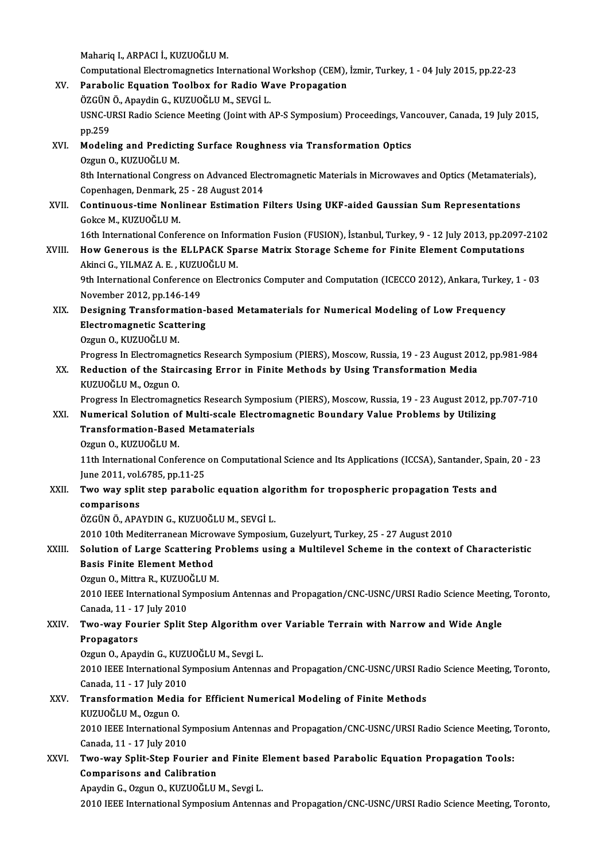Mahariq I., ARPACI İ., KUZUOĞLU M.

Mahariq I., ARPACI İ., KUZUOĞLU M.<br>Computational Electromagnetics International Workshop (CEM), İzmir, Turkey, 1 - 04 July 2015, pp.22-23<br>Parabelis Equation Teolbey for Padie Weye Prepegation

### Mahariq I., ARPACI İ., KUZUOĞLU M.<br>Computational Electromagnetics International Workshop (CEM),<br>XV. Parabolic Equation Toolbox for Radio Wave Propagation Parabolic Equation Toolbox for Radio Wave Propagation

USNC-URSI Radio Science Meeting (Joint with AP-S Symposium) Proceedings, Vancouver, Canada, 19 July 2015, pp.259 ÖZGÜN Ö., Apaydin G., KUZUOĞLU M., SEVGİ L. USNC-URSI Radio Science Meeting (Joint with AP-S Symposium) Proceedings, Var<br>pp.259<br>XVI. Modeling and Predicting Surface Roughness via Transformation Optics<br>Orgun O. KUZUOČLUM

#### pp.259<br>Modeling and Predict<br>Ozgun O., KUZUOĞLU M.<br><sup>Oth Intornational Congre</sup> 0zgun 0., KUZUOĞLU M.<br>8th International Congress on Advanced Electromagnetic Materials in Microwaves and Optics (Metamaterials), Copenhagen, Denmark, 25 - 28 August 2014

## 8th International Congress on Advanced Electromagnetic Materials in Microwaves and Optics (Metamateria<br>Copenhagen, Denmark, 25 - 28 August 2014<br>XVII. Continuous-time Nonlinear Estimation Filters Using UKF-aided Gaussian Su Copenhagen, Denmark, 2<br>**Continuous-time Nonl**<br>Gokce M., KUZUOĞLU M.<br>16th International Confe 16th International Confiner Confineer Estimation Filters Using UKF-aided Gaussian Sum Representations<br>16th International Conference on Information Fusion (FUSION), İstanbul, Turkey, 9 - 12 July 2013, pp.2097-2102<br>How Concr

## Gokce M., KUZUOĞLU M.<br>16th International Conference on Information Fusion (FUSION), İstanbul, Turkey, 9 - 12 July 2013, pp.2097-<br>XVIII. How Generous is the ELLPACK Sparse Matrix Storage Scheme for Finite Element Comput 16th International Conference on Information<br>How Generous is the ELLPACK Sp.<br>Akinci G., YILMAZ A. E., KUZUOĞLU M. How Generous is the ELLPACK Sparse Matrix Storage Scheme for Finite Element Computations<br>Akinci G., YILMAZ A. E. , KUZUOĞLU M.<br>9th International Conference on Electronics Computer and Computation (ICECCO 2012), Ankara, Tur

Akinci G., YILMAZ A. E. , KUZUOĞLU M.<br>9th International Conference on Electronics Computer and Computation (ICECCO 2012), Ankara, Turkey, 1 - 03<br>November 2012, pp.146-149 9th International Conference on Electronics Computer and Computation (ICECCO 2012), Ankara, Turkey<br>November 2012, pp.146-149<br>XIX. Designing Transformation-based Metamaterials for Numerical Modeling of Low Frequency

## November 2012, pp.146-149<br>Designing Transformation-l<br>Electromagnetic Scattering<br>Ozzun O. KUZUOČLU M Electromagnetic Scattering<br>Ozgun O., KUZUOĞLU M. Electromagnetic Scattering<br>Ozgun O., KUZUOĞLU M.<br>Progress In Electromagnetics Research Symposium (PIERS), Moscow, Russia, 19 - 23 August 2012, pp.981-984<br>Reduction of the Staircesing Error in Einite Methods by Heing Transf

#### XX. Reduction of the Staircasing Error in Finite Methods by Using Transformation Media<br>KUZUOĞLU M., Ozgun O. Progress In Electromagr<br>Reduction of the Stair<br>KUZUOĞLU M., Ozgun O.<br>Progress In Electromagr Reduction of the Staircasing Error in Finite Methods by Using Transformation Media<br>KUZUOĞLU M., Ozgun O.<br>Progress In Electromagnetics Research Symposium (PIERS), Moscow, Russia, 19 - 23 August 2012, pp.707-710<br>Numerical Sa

#### KUZUOĞLU M., Ozgun O.<br>Progress In Electromagnetics Research Symposium (PIERS), Moscow, Russia, 19 - 23 August 2012, pp<br>XXI. Numerical Solution of Multi-scale Electromagnetic Boundary Value Problems by Utilizing<br>Transformat Progress In Electromagnetics Research Syn<br>Numerical Solution of Multi-scale Electransformation-Based Metamaterials<br>Ozgun O, KUZUQČLLM Numerical Solution of Multi-scale Electromagnetic Boundary Value Problems by Utilizing<br>Transformation-Based Metamaterials<br>Ozgun O., KUZUOĞLU M.

Transformation-Based Metamaterials<br>Ozgun 0., KUZUOĞLU M.<br>11th International Conference on Computational Science and Its Applications (ICCSA), Santander, Spain, 20 - 23<br>Iune 2011, vel 6795, pp.11-25 Ozgun O., KUZUOĞLU M.<br>11th International Conference<br>June 2011, vol.6785, pp.11-25<br>Ture way split step parabol. June 2011, vol 6785, pp 11-25

## XXII. Two way split step parabolic equation algorithm for tropospheric propagation Tests and<br>comparisons comparisons<br>ÖZGÜN Ö., APAYDIN G., KUZUOĞLU M., SEVGİ L.<br>2010 10th Mediterranean Microwave Symposium, Guzelyurt, Turkey, 25 - 27 August 2010<br>Selution of Lange Sesttering Probleme using e Multilevel Seberne in the sentert

ÖZGÜN Ö., APAYDIN G., KUZUOĞLU M., SEVGİ L.

#### ÖZGÜN Ö., APAYDIN G., KUZUOĞLU M., SEVGİ L.<br>2010 10th Mediterranean Microwave Symposium, Guzelyurt, Turkey, 25 - 27 August 2010<br>XXIII. Solution of Large Scattering Problems using a Multilevel Scheme in the context of Chara 2010 10th Mediterranean Microv<br>Solution of Large Scattering<br>Basis Finite Element Method<br>Orgun O. Mittre B. KUZUOČLU M Solution of Large Scattering P<br>Basis Finite Element Method<br>Ozgun O., Mittra R., KUZUOĞLU M.<br>2010 IEEE International Sumpesi. Basis Finite Element Method<br>Ozgun O., Mittra R., KUZUOĞLU M.<br>2010 IEEE International Symposium Antennas and Propagation/CNC-USNC/URSI Radio Science Meeting, Toronto,

Ozgun O., Mittra R., KUZUO<br>2010 IEEE International Sy<br>Canada, 11 - 17 July 2010<br>Two way Fourior Split i

#### XXIV. Two-way Fourier Split Step Algorithm over Variable Terrain with Narrow and Wide Angle<br>Propagators Canada, 11 - 1<br><mark>Two-way Fou</mark><br>Propagators<br>Oggun O. Apay Two-way Fourier Split Step Algorithm<br>Propagators<br>Ozgun O., Apaydin G., KUZUOĞLU M., Sevgi L.<br>2010 IEEE International Sumposium Antenne

Propagators<br>Ozgun O., Apaydin G., KUZUOĞLU M., Sevgi L.<br>2010 IEEE International Symposium Antennas and Propagation/CNC-USNC/URSI Radio Science Meeting, Toronto,<br>Canada, 11, ...17 July 2010 Ozgun O., Apaydin G., KUZU<br>2010 IEEE International Sy<br>Canada, 11 - 17 July 2010<br>Trangformation Modia 2010 IEEE International Symposium Antennas and Propagation/CNC-USNC/URSI Ra<br>Canada, 11 - 17 July 2010<br>XXV. Transformation Media for Efficient Numerical Modeling of Finite Methods<br>KUZUQČUJM, Ozzun O

#### Canada, 11 - 17 July 2010<br>Transformation Media for Efficient Numerical Modeling of Finite Methods<br>KUZUOĞLU M., Ozgun O. Transformation Media for Efficient Numerical Modeling of Finite Methods<br>KUZUOĞLU M., Ozgun O.<br>2010 IEEE International Symposium Antennas and Propagation/CNC-USNC/URSI Radio Science Meeting, Toronto,<br>Canada 11, 17 July 2010 KUZUOĞLU M., Ozgun O.<br>2010 IEEE International Sy<br>Canada, 11 - 17 July 2010<br>Turo wou Split Stop Fou 2010 IEEE International Symposium Antennas and Propagation/CNC-USNC/URSI Radio Science Meeting,<br>Canada, 11 - 17 July 2010<br>XXVI. Two-way Split-Step Fourier and Finite Element based Parabolic Equation Propagation Tools:<br>Comp

# Canada, 11 - 17 July 2010<br>Two-way Split-Step Fourier and<br>Comparisons and Calibration<br>Apaydin C. Ozgun O. KUZUOČLU Two-way Split-Step Fourier and Finite I<br>Comparisons and Calibration<br>Apaydin G., Ozgun O., KUZUOĞLU M., Sevgi L.<br>2010 IEEE International Sumposium Antenne

Comparisons and Calibration<br>Apaydin G., Ozgun O., KUZUOĞLU M., Sevgi L.<br>2010 IEEE International Symposium Antennas and Propagation/CNC-USNC/URSI Radio Science Meeting, Toronto,